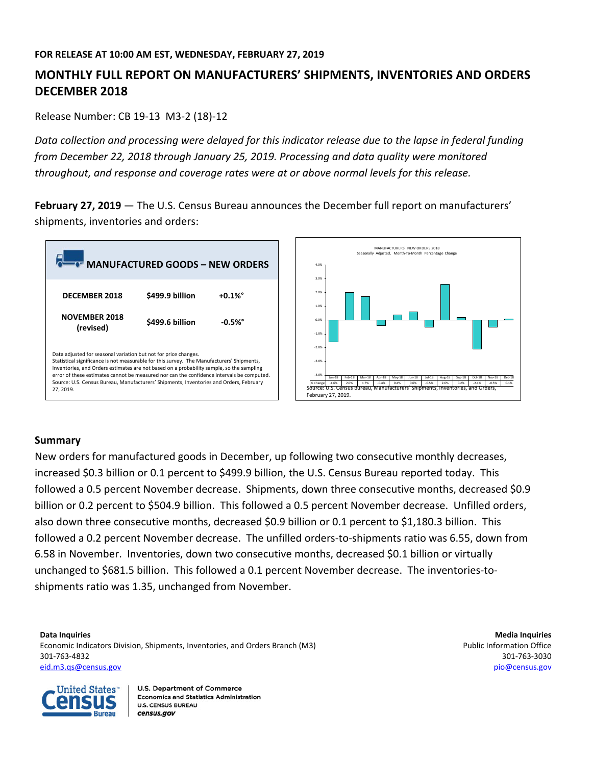# **MONTHLY FULL REPORT ON MANUFACTURERS' SHIPMENTS, INVENTORIES AND ORDERS DECEMBER 2018**

Release Number: CB 19‐13 M3‐2 (18)‐12

Data collection and processing were delayed for this indicator release due to the lapse in federal funding *from December 22, 2018 through January 25, 2019. Processing and data quality were monitored throughout, and response and coverage rates were at or above normal levels for this release.*

**February 27, 2019** — The U.S. Census Bureau announces the December full report on manufacturers' shipments, inventories and orders:



# **Summary**

New orders for manufactured goods in December, up following two consecutive monthly decreases, increased \$0.3 billion or 0.1 percent to \$499.9 billion, the U.S. Census Bureau reported today. This followed a 0.5 percent November decrease. Shipments, down three consecutive months, decreased \$0.9 billion or 0.2 percent to \$504.9 billion. This followed a 0.5 percent November decrease. Unfilled orders, also down three consecutive months, decreased \$0.9 billion or 0.1 percent to \$1,180.3 billion. This followed a 0.2 percent November decrease. The unfilled orders‐to‐shipments ratio was 6.55, down from 6.58 in November. Inventories, down two consecutive months, decreased \$0.1 billion or virtually unchanged to \$681.5 billion. This followed a 0.1 percent November decrease. The inventories‐to‐ shipments ratio was 1.35, unchanged from November.

**Data Inquiries Media Inquiries** Economic Indicators Division, Shipments, Inventories, and Orders Branch (M3) example the state of the Public Information Office 301‐763‐4832 301‐763‐3030 eid.m3.qs@census.gov pio@census.gov

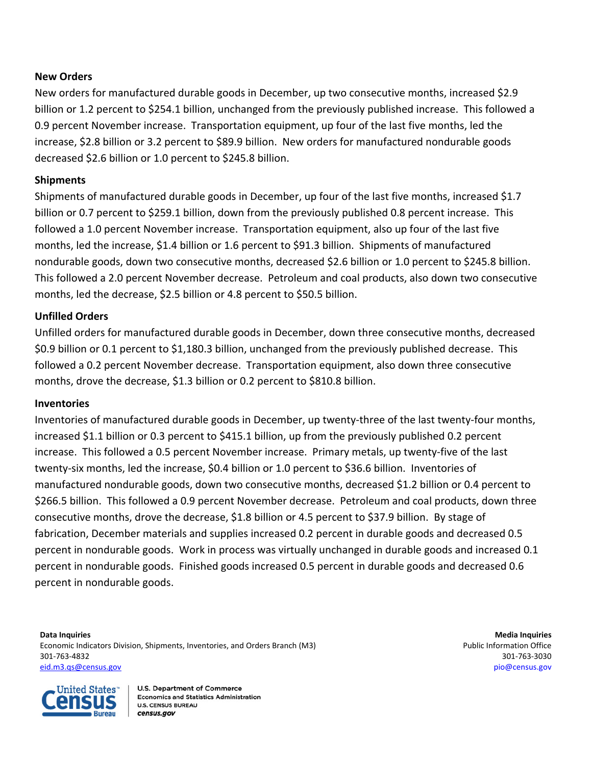### **New Orders**

New orders for manufactured durable goods in December, up two consecutive months, increased \$2.9 billion or 1.2 percent to \$254.1 billion, unchanged from the previously published increase. This followed a 0.9 percent November increase. Transportation equipment, up four of the last five months, led the increase, \$2.8 billion or 3.2 percent to \$89.9 billion. New orders for manufactured nondurable goods decreased \$2.6 billion or 1.0 percent to \$245.8 billion.

## **Shipments**

Shipments of manufactured durable goods in December, up four of the last five months, increased \$1.7 billion or 0.7 percent to \$259.1 billion, down from the previously published 0.8 percent increase. This followed a 1.0 percent November increase. Transportation equipment, also up four of the last five months, led the increase, \$1.4 billion or 1.6 percent to \$91.3 billion. Shipments of manufactured nondurable goods, down two consecutive months, decreased \$2.6 billion or 1.0 percent to \$245.8 billion. This followed a 2.0 percent November decrease. Petroleum and coal products, also down two consecutive months, led the decrease, \$2.5 billion or 4.8 percent to \$50.5 billion.

# **Unfilled Orders**

Unfilled orders for manufactured durable goods in December, down three consecutive months, decreased \$0.9 billion or 0.1 percent to \$1,180.3 billion, unchanged from the previously published decrease. This followed a 0.2 percent November decrease. Transportation equipment, also down three consecutive months, drove the decrease, \$1.3 billion or 0.2 percent to \$810.8 billion.

### **Inventories**

Inventories of manufactured durable goods in December, up twenty‐three of the last twenty‐four months, increased \$1.1 billion or 0.3 percent to \$415.1 billion, up from the previously published 0.2 percent increase. This followed a 0.5 percent November increase. Primary metals, up twenty‐five of the last twenty‐six months, led the increase, \$0.4 billion or 1.0 percent to \$36.6 billion. Inventories of manufactured nondurable goods, down two consecutive months, decreased \$1.2 billion or 0.4 percent to \$266.5 billion. This followed a 0.9 percent November decrease. Petroleum and coal products, down three consecutive months, drove the decrease, \$1.8 billion or 4.5 percent to \$37.9 billion. By stage of fabrication, December materials and supplies increased 0.2 percent in durable goods and decreased 0.5 percent in nondurable goods. Work in process was virtually unchanged in durable goods and increased 0.1 percent in nondurable goods. Finished goods increased 0.5 percent in durable goods and decreased 0.6 percent in nondurable goods.

**Data Inquiries Media Inquiries** Economic Indicators Division, Shipments, Inventories, and Orders Branch (M3) example the state of the Public Information Office 301‐763‐4832 301‐763‐3030 eid.m3.qs@census.gov pio@census.gov

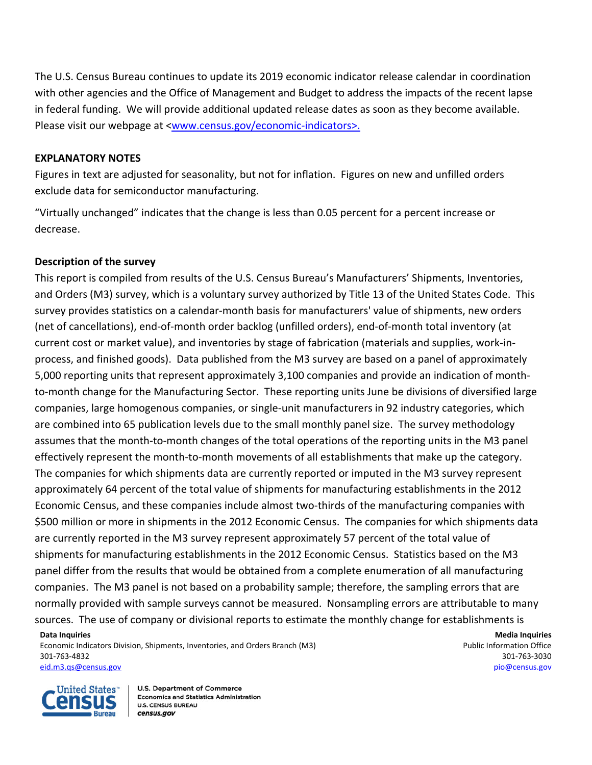The U.S. Census Bureau continues to update its 2019 economic indicator release calendar in coordination with other agencies and the Office of Management and Budget to address the impacts of the recent lapse in federal funding. We will provide additional updated release dates as soon as they become available. Please visit our webpage at <www.census.gov/economic‐indicators>.

### **EXPLANATORY NOTES**

Figures in text are adjusted for seasonality, but not for inflation. Figures on new and unfilled orders exclude data for semiconductor manufacturing.

"Virtually unchanged" indicates that the change is less than 0.05 percent for a percent increase or decrease.

# **Description of the survey**

This report is compiled from results of the U.S. Census Bureau's Manufacturers' Shipments, Inventories, and Orders (M3) survey, which is a voluntary survey authorized by Title 13 of the United States Code. This survey provides statistics on a calendar‐month basis for manufacturers' value of shipments, new orders (net of cancellations), end‐of‐month order backlog (unfilled orders), end‐of‐month total inventory (at current cost or market value), and inventories by stage of fabrication (materials and supplies, work‐in‐ process, and finished goods). Data published from the M3 survey are based on a panel of approximately 5,000 reporting units that represent approximately 3,100 companies and provide an indication of month‐ to-month change for the Manufacturing Sector. These reporting units June be divisions of diversified large companies, large homogenous companies, or single‐unit manufacturers in 92 industry categories, which are combined into 65 publication levels due to the small monthly panel size. The survey methodology assumes that the month‐to‐month changes of the total operations of the reporting units in the M3 panel effectively represent the month‐to‐month movements of all establishments that make up the category. The companies for which shipments data are currently reported or imputed in the M3 survey represent approximately 64 percent of the total value of shipments for manufacturing establishments in the 2012 Economic Census, and these companies include almost two-thirds of the manufacturing companies with \$500 million or more in shipments in the 2012 Economic Census. The companies for which shipments data are currently reported in the M3 survey represent approximately 57 percent of the total value of shipments for manufacturing establishments in the 2012 Economic Census. Statistics based on the M3 panel differ from the results that would be obtained from a complete enumeration of all manufacturing companies. The M3 panel is not based on a probability sample; therefore, the sampling errors that are normally provided with sample surveys cannot be measured. Nonsampling errors are attributable to many sources. The use of company or divisional reports to estimate the monthly change for establishments is

**Data Inquiries Media Inquiries** Economic Indicators Division, Shipments, Inventories, and Orders Branch (M3) example the state of the Public Information Office 301‐763‐4832 301‐763‐3030 eid.m3.qs@census.gov pio@census.gov

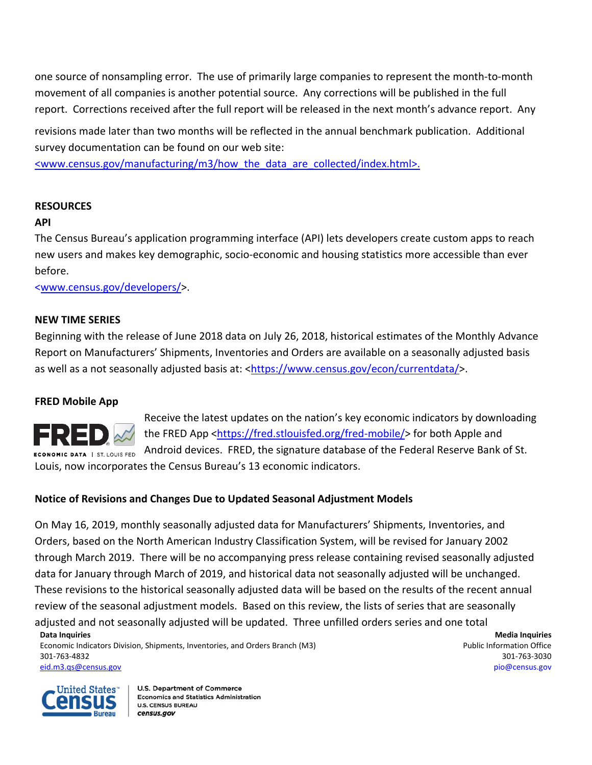one source of nonsampling error. The use of primarily large companies to represent the month‐to‐month movement of all companies is another potential source. Any corrections will be published in the full report. Corrections received after the full report will be released in the next month's advance report. Any

revisions made later than two months will be reflected in the annual benchmark publication.Additional survey documentation can be found on our web site:

<www.census.gov/manufacturing/m3/how\_the\_data\_are\_collected/index.html>.

# **RESOURCES**

# **API**

The Census Bureau's application programming interface (API) lets developers create custom apps to reach new users and makes key demographic, socio‐economic and housing statistics more accessible than ever before.

<www.census.gov/developers/>.

### **NEW TIME SERIES**

Beginning with the release of June 2018 data on July 26, 2018, historical estimates of the Monthly Advance Report on Manufacturers' Shipments, Inventories and Orders are available on a seasonally adjusted basis as well as a not seasonally adjusted basis at: <https://www.census.gov/econ/currentdata/>.

# **FRED Mobile App**



Receive the latest updates on the nation's key economic indicators by downloading the FRED App <https://fred.stlouisfed.org/fred-mobile/> for both Apple and Android devices. FRED, the signature database of the Federal Reserve Bank of St. Louis, now incorporates the Census Bureau's 13 economic indicators.

# **Notice of Revisions and Changes Due to Updated Seasonal Adjustment Models**

**Data Inquiries Media Inquiries** Economic Indicators Division, Shipments, Inventories, and Orders Branch (M3) example the state of the Public Information Office On May 16, 2019, monthly seasonally adjusted data for Manufacturers' Shipments, Inventories, and Orders, based on the North American Industry Classification System, will be revised for January 2002 through March 2019. There will be no accompanying press release containing revised seasonally adjusted data for January through March of 2019, and historical data not seasonally adjusted will be unchanged. These revisions to the historical seasonally adjusted data will be based on the results of the recent annual review of the seasonal adjustment models. Based on this review, the lists of series that are seasonally adjusted and not seasonally adjusted will be updated. Three unfilled orders series and one total

301‐763‐4832 301‐763‐3030 eid.m3.qs@census.gov pio@census.gov

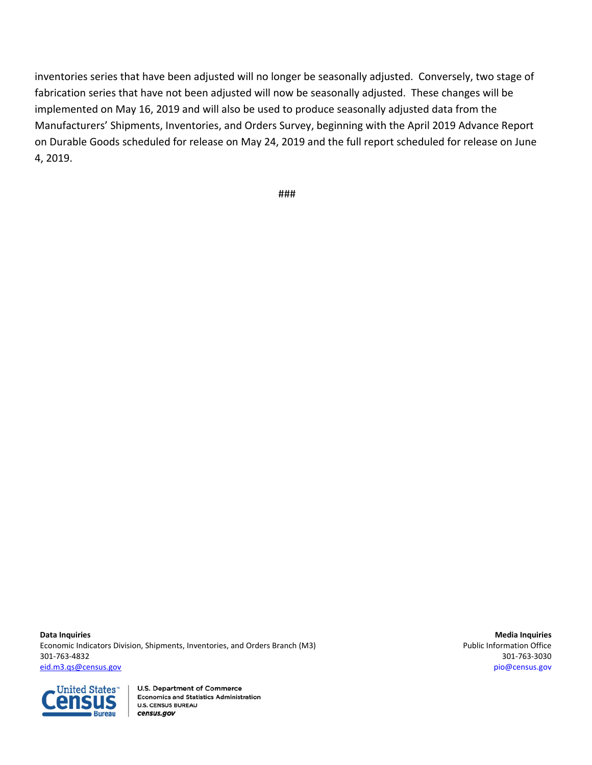inventories series that have been adjusted will no longer be seasonally adjusted. Conversely, two stage of fabrication series that have not been adjusted will now be seasonally adjusted. These changes will be implemented on May 16, 2019 and will also be used to produce seasonally adjusted data from the Manufacturers' Shipments, Inventories, and Orders Survey, beginning with the April 2019 Advance Report on Durable Goods scheduled for release on May 24, 2019 and the full report scheduled for release on June 4, 2019.

###

**Data Inquiries Media Inquiries** Economic Indicators Division, Shipments, Inventories, and Orders Branch (M3) **Public Information Office** Public Information Office 301‐763‐4832 301‐763‐3030 eid.m3.qs@census.gov pio@census.gov

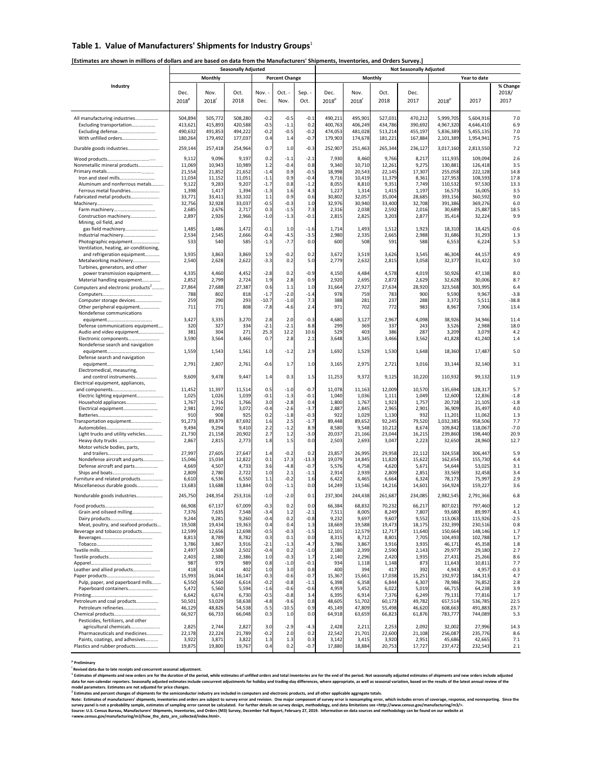### **Table 1. Value of Manufacturers' Shipments for Industry Groups**<sup>1</sup>

#### [Estimates are shown in millions of dollars and are based on data from the Manufacturers' Shipments, Inventories, and Orders Survey.]

|                                                                  |                    |                    | <b>Seasonally Adjusted</b> |                  |                       |                  |                    | <b>Not Seasonally Adjusted</b> |                    |                    |                        |                        |               |
|------------------------------------------------------------------|--------------------|--------------------|----------------------------|------------------|-----------------------|------------------|--------------------|--------------------------------|--------------------|--------------------|------------------------|------------------------|---------------|
|                                                                  |                    | Monthly            |                            |                  | <b>Percent Change</b> |                  |                    |                                | Monthly            |                    |                        | Year to date           |               |
| Industry                                                         |                    |                    |                            |                  |                       |                  |                    |                                |                    |                    |                        |                        | % Change      |
|                                                                  | Dec.               | Nov.               | Oct.                       | Nov.             | Oct. -                | Sep. -           | Dec.               | Nov.                           | Oct.               | Dec.               |                        |                        | 2018/         |
|                                                                  | 2018 <sup>p</sup>  | 2018               | 2018                       | Dec.             | Nov.                  | Oct.             | 2018 <sup>p</sup>  | 2018                           | 2018               | 2017               | 2018 <sup>p</sup>      | 2017                   | 2017          |
|                                                                  |                    |                    |                            |                  |                       |                  |                    |                                |                    |                    |                        |                        |               |
| All manufacturing industries                                     | 504,894            | 505,772            | 508,280                    | $-0.2$           | $-0.5$                | $-0.1$           | 490,211            | 495,901                        | 527,031            | 470,212            | 5,999,705              | 5,604,916              | 7.0           |
| Excluding transportation                                         | 413,621            | 415,893            | 420,588                    | $-0.5$           | $-1.1$                | 0.2              | 400,763            | 406,249                        | 434,786            | 390,692            | 4,967,320              | 4,646,410              | 6.9           |
| Excluding defense<br>With unfilled orders                        | 490,632<br>180,264 | 491,853<br>179,492 | 494,222<br>177,037         | $-0.2$<br>0.4    | $-0.5$<br>1.4         | $-0.2$<br>$-0.7$ | 474,053<br>179,903 | 481,028<br>174,678             | 513,214<br>181,221 | 455,197<br>167,884 | 5,836,389<br>2,101,389 | 5,455,135<br>1,954,941 | 7.0<br>7.5    |
|                                                                  |                    |                    |                            |                  |                       |                  |                    |                                |                    |                    |                        |                        |               |
| Durable goods industries                                         | 259,144            | 257,418            | 254,964                    | 0.7              | 1.0                   | $-0.3$           | 252,907            | 251,463                        | 265,344            | 236,127            | 3,017,160              | 2,813,550              | 7.2           |
|                                                                  | 9,112              | 9,096              | 9,197                      | 0.2              | $-1.1$                | $-2.1$           | 7,930              | 8,460                          | 9,766              | 8,217              | 111,935                | 109,094                | 2.6           |
| Nonmetallic mineral products                                     | 11,069             | 10,943             | 10,989                     | 1.2              | $-0.4$                | 0.8              | 9,340<br>18,998    | 10,710                         | 12,261             | 9,275              | 130,881                | 126,418                | 3.5<br>14.8   |
| Iron and steel mills                                             | 21,554<br>11,034   | 21,852<br>11,152   | 21,652<br>11,051           | $-1.4$<br>$-1.1$ | 0.9<br>0.9            | $-0.5$<br>$-0.4$ | 9,716              | 20,543<br>10,419               | 22,145<br>11,379   | 17,307<br>8,361    | 255,058<br>127,953     | 222,128<br>108,593     | 17.8          |
| Aluminum and nonferrous metals                                   | 9,122              | 9,283              | 9,207                      | $-1.7$           | 0.8                   | $-1.2$           | 8,055              | 8,810                          | 9,351              | 7,749              | 110,532                | 97,530                 | 13.3          |
| Ferrous metal foundries                                          | 1,398              | 1,417              | 1,394                      | $-1.3$           | 1.6                   | 4.3              | 1,227              | 1,314                          | 1,415              | 1,197              | 16,573                 | 16,005                 | 3.5           |
| Fabricated metal products                                        | 33,771             | 33,411             | 33,102                     | 1.1              | 0.9                   | 0.6              | 30,802             | 32,057                         | 35,004             | 28,685             | 393,156                | 360,592                | 9.0           |
|                                                                  | 32,756<br>2,685    | 32,928<br>2,676    | 33,037<br>2,717            | $-0.5$<br>0.3    | $-0.3$<br>$-1.5$      | 1.0<br>7.3       | 32,976<br>2,316    | 30,940<br>2,038                | 33,400<br>2,592    | 32,708<br>2,016    | 391,386<br>30,689      | 369,276<br>25,887      | 6.0<br>18.5   |
| Construction machinery                                           | 2,897              | 2,926              | 2,966                      | $-1.0$           | $-1.3$                | $-0.1$           | 2,815              | 2,825                          | 3,203              | 2,877              | 35,414                 | 32,224                 | 9.9           |
| Mining, oil field, and                                           |                    |                    |                            |                  |                       |                  |                    |                                |                    |                    |                        |                        |               |
| gas field machinery                                              | 1,485              | 1,486              | 1,472                      | $-0.1$           | 1.0                   | $-1.6$           | 1,714              | 1,493                          | 1,512              | 1,923              | 18,310                 | 18,425                 | $-0.6$        |
| Industrial machinery<br>Photographic equipment                   | 2,534<br>533       | 2,545<br>540       | 2,666<br>585               | $-0.4$<br>$-1.3$ | $-4.5$<br>$-7.7$      | $-3.5$<br>0.0    | 2,980<br>600       | 2,335<br>508                   | 2,665<br>591       | 2,988<br>588       | 31,686<br>6,553        | 31,293<br>6,224        | 1.3<br>5.3    |
| Ventilation, heating, air-conditioning,                          |                    |                    |                            |                  |                       |                  |                    |                                |                    |                    |                        |                        |               |
| and refrigeration equipment                                      | 3,935              | 3,863              | 3,869                      | 1.9              | $-0.2$                | 0.2              | 3,672              | 3,519                          | 3,626              | 3,545              | 46,304                 | 44,157                 | 4.9           |
| Metalworking machinery                                           | 2,540              | 2,628              | 2,622                      | $-3.3$           | 0.2                   | 5.0              | 2,779              | 2,632                          | 2,815              | 3,058              | 32,377                 | 31,422                 | 3.0           |
| Turbines, generators, and other<br>power transmission equipment  | 4,335              | 4,460              | 4,452                      | $-2.8$           | 0.2                   | $-0.9$           | 4,150              | 4,484                          | 4,578              | 4,019              | 50,926                 | 47,138                 | 8.0           |
| Material handling equipment                                      | 2,852              | 2,799              | 2,724                      | 1.9              | 2.8                   | 0.9              | 2,920              | 2,695                          | 2,872              | 2,629              | 32,628                 | 30,006                 | 8.7           |
| Computers and electronic products <sup>2</sup>                   | 27,864             | 27,688             | 27,387                     | 0.6              | $1.1$                 | 1.0              | 31,664             | 27,927                         | 27,634             | 28,920             | 323,568                | 303,995                | 6.4           |
|                                                                  | 788                | 802                | 818                        | $-1.7$           | $-2.0$                | $-1.4$           | 978                | 759                            | 783                | 900                | 9,590                  | 9,967                  | $-3.8$        |
| Computer storage devices                                         | 259                | 290                | 293                        | $-10.7$          | $-1.0$                | 7.3              | 388                | 281                            | 237                | 288                | 3,372                  | 5,511                  | $-38.8$       |
| Other peripheral equipment<br>Nondefense communications          | 711                | 771                | 808                        | $-7.8$           | $-4.6$                | 2.4              | 971                | 702                            | 772                | 983                | 8,967                  | 7,906                  | 13.4          |
|                                                                  | 3,427              | 3,335              | 3,270                      | 2.8              | 2.0                   | $-0.3$           | 4,680              | 3,127                          | 2,967              | 4,098              | 38,926                 | 34,946                 | 11.4          |
| Defense communications equipment                                 | 320                | 327                | 334                        | $-2.1$           | $-2.1$                | 8.8              | 299                | 369                            | 337                | 243                | 3,526                  | 2,988                  | 18.0          |
| Audio and video equipment                                        | 381                | 304                | 271                        | 25.3             | 12.2                  | 10.6             | 529                | 403                            | 386                | 287                | 3,209                  | 3,079                  | 4.2           |
| Electronic components<br>Nondefense search and navigation        | 3,590              | 3,564              | 3,466                      | 0.7              | 2.8                   | 2.1              | 3,648              | 3,345                          | 3,466              | 3,562              | 41,828                 | 41,240                 | 1.4           |
|                                                                  | 1,559              | 1,543              | 1,561                      | 1.0              | $-1.2$                | 2.9              | 1,692              | 1,529                          | 1,530              | 1,648              | 18,360                 | 17,487                 | 5.0           |
| Defense search and navigation                                    |                    |                    |                            |                  |                       |                  |                    |                                |                    |                    |                        |                        |               |
|                                                                  | 2,791              | 2,807              | 2,761                      | $-0.6$           | 1.7                   | 1.0              | 3,165              | 2,975                          | 2,721              | 3,016              | 33,144                 | 32,140                 | 3.1           |
| Electromedical, measuring,<br>and control instruments            | 9,609              | 9,478              | 9,447                      | 1.4              | 0.3                   | 1.5              | 11,253             | 9,372                          | 9,125              | 10,220             | 110,932                | 99,132                 | 11.9          |
| Electrical equipment, appliances,                                |                    |                    |                            |                  |                       |                  |                    |                                |                    |                    |                        |                        |               |
|                                                                  | 11,452             | 11,397             | 11,514                     | 0.5              | $-1.0$                | $-0.7$           | 11,078             | 11,163                         | 12,009             | 10,570             | 135,694                | 128,317                | 5.7           |
| Electric lighting equipment                                      | 1,025              | 1,026              | 1,039                      | $-0.1$           | $-1.3$                | $-0.1$           | 1,040              | 1,036                          | 1,111              | 1,049              | 12,600                 | 12,836                 | $-1.8$        |
| Household appliances                                             | 1,767<br>2,981     | 1,716<br>2,992     | 1,766<br>3,072             | 3.0<br>$-0.4$    | $-2.8$<br>$-2.6$      | 0.4<br>$-3.7$    | 1,800<br>2,887     | 1,767<br>2,845                 | 1,923<br>2,965     | 1,757<br>2,901     | 20,728<br>36,909       | 21,105<br>35,497       | $-1.8$<br>4.0 |
| Electrical equipment                                             | 910                | 908                | 925                        | 0.2              | $-1.8$                | $-0.3$           | 922                | 1,029                          | 1,130              | 932                | 11,201                 | 11,062                 | 1.3           |
| Transportation equipment                                         | 91,273             | 89,879             | 87,692                     | 1.6              | 2.5                   | $-1.7$           | 89,448             | 89,652                         | 92,245             | 79,520             | 1,032,385              | 958,506                | 7.7           |
|                                                                  | 9,494              | 9,294              | 9,410                      | 2.2              | $-1.2$                | 8.9              | 8,580              | 9,548                          | 10,212             | 8,674              | 109,842                | 118,067                | $-7.0$        |
| Light trucks and utility vehicles<br>Heavy duty trucks           | 21,730<br>2,867    | 21,158<br>2,815    | 20,902<br>2,773            | 2.7<br>1.8       | 1.2<br>1.5            | $-3.0$<br>0.0    | 20,037<br>2,503    | 21,166<br>2,693                | 23,044<br>3,047    | 16,215<br>2,223    | 239,860<br>32,650      | 198,440<br>28,960      | 20.9<br>12.7  |
| Motor vehicle bodies, parts,                                     |                    |                    |                            |                  |                       |                  |                    |                                |                    |                    |                        |                        |               |
|                                                                  | 27,997             | 27,605             | 27,647                     | 1.4              | $-0.2$                | 0.2              | 23,857             | 26,995                         | 29,958             | 22,112             | 324,558                | 306,447                | 5.9           |
| Nondefense aircraft and parts                                    | 15,046             | 15,034             | 12,822                     | 0.1              | 17.3                  | $-13.3$          | 19,079             | 14,845                         | 11,820             | 15,622             | 162,654                | 155,730                | 4.4           |
| Defense aircraft and parts<br>Ships and boats                    | 4,669<br>2,809     | 4,507<br>2,780     | 4,733<br>2,722             | 3.6<br>1.0       | $-4.8$<br>2.1         | $-0.7$<br>$-1.1$ | 5,576<br>2,914     | 4,758<br>2,939                 | 4,620<br>2,809     | 5,671<br>2,851     | 54,644<br>33,569       | 53,025<br>32,458       | 3.1<br>3.4    |
| Furniture and related products                                   | 6,610              | 6,536              | 6,550                      | 1.1              | $-0.2$                | 1.6              | 6,422              | 6,465                          | 6,664              | 6,324              | 78,173                 | 75,997                 | 2.9           |
| Miscellaneous durable goods                                      | 13,683             | 13,688             | 13,844                     | 0.0              | $-1.1$                | 0.0              | 14,249             | 13,546                         | 14,216             | 14,601             | 164,924                | 159,227                | 3.6           |
| Nondurable goods industries                                      | 245,750            | 248,354            | 253,316                    | $-1.0$           | $-2.0$                | 0.1              | 237,304            | 244.438                        | 261,687            | 234,085            | 2,982,545              | 2,791,366              | 6.8           |
|                                                                  | 66,908             | 67,137             | 67,009                     | $-0.3$           | 0.2                   | 0.0              | 66,384             | 68,832                         | 70,232             | 66,217             | 807,021                | 797,460                | 1.2           |
| Grain and oilseed milling                                        | 7,376              | 7,635              | 7,548                      | $-3.4$           | 1.2                   | $-2.1$           | 7,511              | 8,005                          | 8,249              | 7,807              | 93,680                 | 89,997                 | 4.1           |
| Dairy products                                                   | 9,244              | 9,281              | 9,260                      | $-0.4$           | 0.2                   | $-0.8$           | 9,232              | 9,697                          | 9,607              | 9,552              | 113,063                | 115,926                | $-2.5$        |
| Meat, poultry, and seafood products                              | 19,508             | 19,434             | 19,363                     | 0.4              | 0.4                   | 1.3              | 18,669             | 19,588                         | 19,473             | 18,175             | 232,399                | 230,516                | 0.8           |
| Beverage and tobacco products                                    | 12,599             | 12,656             | 12,698                     | $-0.5$           | $-0.3$                | $-1.5$           | 12,101             | 12,579                         | 12,717             | 11,640             | 150,664                | 148,146                | 1.7           |
|                                                                  | 8,813<br>3,786     | 8,789<br>3,867     | 8,782<br>3,916             | 0.3<br>$-2.1$    | 0.1<br>$-1.3$         | 0.0<br>$-4.7$    | 8,315<br>3,786     | 8,712<br>3,867                 | 8,801<br>3,916     | 7,705<br>3,935     | 104,493<br>46,171      | 102,788<br>45,358      | 1.7<br>1.8    |
|                                                                  | 2,497              | 2,508              | 2,502                      | $-0.4$           | 0.2                   | $-1.0$           | 2,180              | 2,399                          | 2,590              | 2,143              | 29,977                 | 29,180                 | 2.7           |
|                                                                  | 2,403              | 2,380              | 2,386                      | 1.0              | $-0.3$                | 1.7              | 2,140              | 2,296                          | 2,420              | 1,935              | 27,431                 | 25,266                 | 8.6           |
|                                                                  | 987                | 979                | 989                        | 0.8              | $-1.0$                | $-0.1$           | 934                | 1,118                          | 1,148              | 873                | 11,643                 | 10,811                 | 7.7           |
| Leather and allied products                                      | 418<br>15,993      | 414<br>16,044      | 402<br>16,147              | 1.0<br>$-0.3$    | 3.0<br>$-0.6$         | 0.8<br>$-0.7$    | 400<br>15,367      | 394<br>15,661                  | 417<br>17,038      | 392<br>15,251      | 4,943<br>192,972       | 4,957<br>184,313       | $-0.3$<br>4.7 |
| Pulp, paper, and paperboard mills                                | 6,550              | 6,560              | 6,614                      | $-0.2$           | $-0.8$                | $-1.1$           | 6,398              | 6,358                          | 6,844              | 6,307              | 78,986                 | 76,852                 | 2.8           |
| Paperboard containers                                            | 5,472              | 5,560              | 5,594                      | $-1.6$           | $-0.6$                | $-0.6$           | 4,959              | 5,452                          | 6,022              | 5,019              | 66,715                 | 64,238                 | 3.9           |
|                                                                  | 6,642              | 6,674              | 6,730                      | $-0.5$           | $-0.8$                | 3.4              | 6,395              | 6,914                          | 7,376              | 6,249              | 79,131                 | 77,816                 | 1.7           |
| Petroleum and coal products<br>Petroleum refineries              | 50,501<br>46,129   | 53,029<br>48,826   | 58,638<br>54,538           | $-4.8$<br>$-5.5$ | $-9.6$<br>$-10.5$     | 0.8<br>0.9       | 48,605<br>45,149   | 51,702<br>47,809               | 60,173<br>55,498   | 49,782<br>46,620   | 657,514<br>608,663     | 536,785<br>491,883     | 22.5<br>23.7  |
|                                                                  | 66,927             | 66,733             | 66,048                     | 0.3              | 1.0                   | 0.0              | 64,918             | 63,659                         | 66,823             | 61,876             | 783,777                | 744,089                | 5.3           |
| Pesticides, fertilizers, and other                               |                    |                    |                            |                  |                       |                  |                    |                                |                    |                    |                        |                        |               |
| agricultural chemicals                                           | 2,825              | 2,744              | 2,827                      | 3.0              | $-2.9$                | $-4.3$           | 2,428              | 2,211                          | 2,253              | 2,092              | 32,002                 | 27,996                 | 14.3          |
| Pharmaceuticals and medicines<br>Paints, coatings, and adhesives | 22,178<br>3,922    | 22,224<br>3,871    | 21,789<br>3,822            | $-0.2$<br>1.3    | 2.0<br>1.3            | 0.2<br>0.3       | 22,542<br>3,142    | 21,701<br>3,415                | 22,600<br>3,920    | 21,108<br>2,951    | 256,087<br>45,686      | 235,776<br>42,665      | 8.6<br>7.1    |
| Plastics and rubber products                                     | 19,875             | 19,800             | 19,767                     | 0.4              | 0.2                   | $-0.7$           | 17,880             | 18,884                         | 20,753             | 17,727             | 237,472                | 232,543                | 2.1           |

**<sup>p</sup> Preliminary**

<sup>r</sup> Revised data due to late receipts and concurrent seasonal adjustment.

"Revised data due to late receipts and concurrent seasonal adjustment.<br>" Estimates of shipments and new orders are for the duration of the period, while estimates of unfilled orders and total inventories are for the end of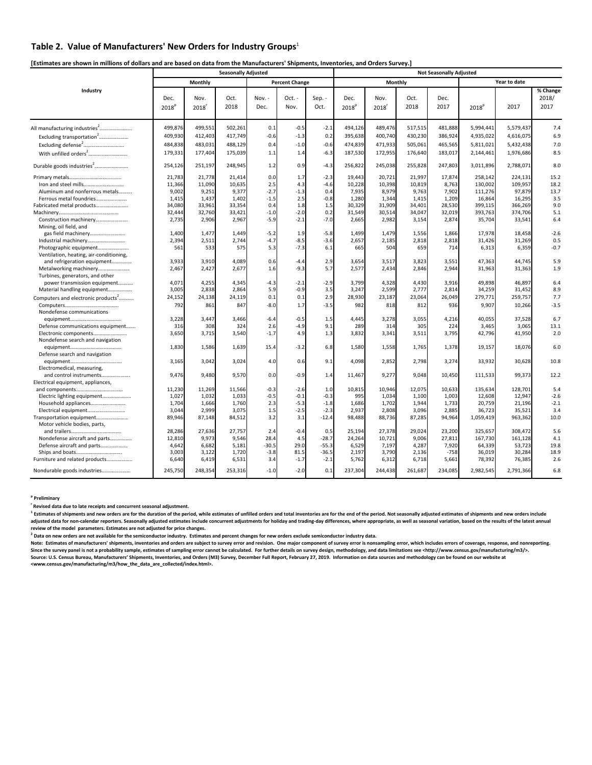### **Table 2. Value of Manufacturers' New Orders for Industry Groups**<sup>1</sup>

[Estimates are shown in millions of dollars and are based on data from the Manufacturers' Shipments, Inventories, and Orders Survey.]

|                                                                   |                           |                             | <b>Seasonally Adjusted</b> |                |                       |                | <b>Not Seasonally Adjusted</b> |                           |              |              |                   |              |                           |  |
|-------------------------------------------------------------------|---------------------------|-----------------------------|----------------------------|----------------|-----------------------|----------------|--------------------------------|---------------------------|--------------|--------------|-------------------|--------------|---------------------------|--|
|                                                                   |                           | Monthly                     |                            |                | <b>Percent Change</b> |                |                                | Monthly                   |              |              |                   | Year to date |                           |  |
| Industry                                                          | Dec.<br>2018 <sup>p</sup> | Nov.<br>$2018$ <sup>r</sup> | Oct.<br>2018               | Nov. -<br>Dec. | $Oct. -$<br>Nov.      | Sep. -<br>Oct. | Dec.<br>2018 <sup>p</sup>      | Nov.<br>2018 <sup>r</sup> | Oct.<br>2018 | Dec.<br>2017 | 2018 <sup>p</sup> | 2017         | % Change<br>2018/<br>2017 |  |
|                                                                   | 499,876                   | 499,551                     | 502,261                    | 0.1            | $-0.5$                | $-2.1$         | 494,126                        | 489,476                   | 517,515      | 481,888      | 5,994,441         | 5,579,437    | 7.4                       |  |
| Excluding transportation <sup>2</sup>                             | 409,930                   | 412,403                     | 417,749                    | $-0.6$         | $-1.3$                | 0.2            | 395,638                        | 400,740                   | 430,230      | 386,924      | 4,935,022         | 4,616,075    | 6.9                       |  |
| Excluding defense <sup>2</sup>                                    | 484,838                   | 483,031                     | 488,129                    | 0.4            | $-1.0$                | $-0.6$         | 474,839                        | 471,933                   | 505,061      | 465,565      | 5,811,021         | 5,432,438    | 7.0                       |  |
|                                                                   | 179,331                   | 177,404                     | 175,039                    | $1.1$          | 1.4                   | $-6.3$         | 187,530                        | 172,955                   | 176,640      | 183,017      | 2,144,461         | 1,976,686    | 8.5                       |  |
| Durable goods industries <sup>2</sup>                             | 254,126                   | 251,197                     | 248,945                    | 1.2            | 0.9                   | $-4.3$         | 256,822                        | 245,038                   | 255,828      | 247,803      | 3,011,896         | 2,788,071    | 8.0                       |  |
|                                                                   | 21,783                    | 21,778                      | 21,414                     | 0.0            | 1.7                   | $-2.3$         | 19,443                         | 20,721                    | 21,997       | 17,874       | 258,142           | 224,131      | 15.2                      |  |
|                                                                   | 11,366                    | 11,090                      | 10,635                     | 2.5            | 4.3                   | $-4.6$         | 10,228                         | 10,398                    | 10,819       | 8,763        | 130,002           | 109,957      | 18.2                      |  |
| Aluminum and nonferrous metals                                    | 9,002                     | 9,251                       | 9,377                      | $-2.7$         | $-1.3$                | 0.4            | 7,935                          | 8,979                     | 9,763        | 7,902        | 111,276           | 97,879       | 13.7                      |  |
| Ferrous metal foundries                                           | 1,415                     | 1,437                       | 1,402                      | $-1.5$         | 2.5                   | $-0.8$         | 1,280                          | 1,344                     | 1,415        | 1,209        | 16,864            | 16,295       | 3.5                       |  |
| Fabricated metal products                                         | 34,080                    | 33,961                      | 33,354                     | 0.4            | 1.8                   | 1.5            | 30,329                         | 31,909                    | 34,401       | 28,530       | 399,115           | 366,269      | 9.0                       |  |
|                                                                   | 32,444                    | 32,760                      | 33,421                     | $-1.0$         | $-2.0$                | 0.2            | 31,549                         | 30,514                    | 34,047       | 32,019       | 393,763           | 374,706      | 5.1                       |  |
| Construction machinery<br>Mining, oil field, and                  | 2,735                     | 2,906                       | 2,967                      | $-5.9$         | $-2.1$                | $-7.0$         | 2,665                          | 2,982                     | 3,154        | 2,874        | 35,704            | 33,541       | 6.4                       |  |
| gas field machinery                                               | 1,400                     | 1,477                       | 1,449                      | $-5.2$         | 1.9                   | $-5.8$         | 1.499                          | 1,479                     | 1,556        | 1,866        | 17,978            | 18,458       | $-2.6$                    |  |
| Industrial machinery                                              | 2,394                     | 2,511                       | 2,744                      | $-4.7$         | $-8.5$                | $-3.6$         | 2,657                          | 2,185                     | 2,818        | 2,818        | 31,426            | 31,269       | 0.5                       |  |
| Photographic equipment<br>Ventilation, heating, air-conditioning, | 561                       | 533                         | 575                        | 5.3            | $-7.3$                | 6.1            | 665                            | 504                       | 659          | 714          | 6,313             | 6,359        | $-0.7$                    |  |
| and refrigeration equipment                                       | 3,933                     | 3,910                       | 4,089                      | 0.6            | $-4.4$                | 2.9            | 3,654                          | 3,517                     | 3,823        | 3,551        | 47,363            | 44,745       | 5.9                       |  |
| Metalworking machinery<br>Turbines, generators, and other         | 2,467                     | 2,427                       | 2,677                      | 1.6            | $-9.3$                | 5.7            | 2,577                          | 2,434                     | 2,846        | 2,944        | 31,963            | 31,363       | 1.9                       |  |
| power transmission equipment                                      | 4,071                     | 4,255                       | 4,345                      | $-4.3$         | $-2.1$                | $-2.9$         | 3.799                          | 4,328                     | 4,430        | 3.916        | 49,898            | 46,897       | 6.4                       |  |
| Material handling equipment                                       | 3,005                     | 2,838                       | 2,864                      | 5.9            | $-0.9$                | 3.5            | 3,247                          | 2,599                     | 2,777        | 2,814        | 34,259            | 31,452       | 8.9                       |  |
| Computers and electronic products <sup>2</sup>                    | 24,152                    | 24,138                      | 24,119                     | 0.1            | 0.1                   | 2.9            | 28,930                         | 23,187                    | 23,064       | 26,049       | 279,771           | 259,757      | 7.7                       |  |
| Nondefense communications                                         | 792                       | 861                         | 847                        | $-8.0$         | 1.7                   | $-3.5$         | 982                            | 818                       | 812          | 936          | 9,907             | 10,266       | $-3.5$                    |  |
|                                                                   | 3,228                     | 3,447                       | 3,466                      | $-6.4$         | $-0.5$                | 1.5            | 4,445                          | 3,278                     | 3,055        | 4,216        | 40,055            | 37,528       | 6.7                       |  |
| Defense communications equipment                                  | 316                       | 308                         | 324                        | 2.6            | $-4.9$                | 9.1            | 289                            | 314                       | 305          | 224          | 3,465             | 3,065        | 13.1                      |  |
| Electronic components<br>Nondefense search and navigation         | 3,650                     | 3,715                       | 3,540                      | $-1.7$         | 4.9                   | 1.3            | 3,832                          | 3,341                     | 3,511        | 3,795        | 42,796            | 41,950       | 2.0                       |  |
| Defense search and navigation                                     | 1,830                     | 1,586                       | 1,639                      | 15.4           | $-3.2$                | 6.8            | 1,580                          | 1,558                     | 1,765        | 1,378        | 19,157            | 18,076       | 6.0                       |  |
| Electromedical, measuring,                                        | 3,165                     | 3,042                       | 3,024                      | 4.0            | 0.6                   | 9.1            | 4,098                          | 2,852                     | 2,798        | 3,274        | 33,932            | 30,628       | 10.8                      |  |
| and control instruments<br>Electrical equipment, appliances,      | 9,476                     | 9,480                       | 9,570                      | 0.0            | $-0.9$                | 1.4            | 11,467                         | 9,277                     | 9,048        | 10,450       | 111,533           | 99,373       | 12.2                      |  |
|                                                                   | 11,230                    | 11,269                      | 11,566                     | $-0.3$         | $-2.6$                | 1.0            | 10,815                         | 10,946                    | 12,075       | 10.633       | 135,634           | 128,701      | 5.4                       |  |
| Electric lighting equipment                                       | 1,027                     | 1,032                       | 1,033                      | $-0.5$         | $-0.1$                | $-0.3$         | 995                            | 1,034                     | 1,100        | 1,003        | 12,608            | 12,947       | $-2.6$                    |  |
|                                                                   | 1.704                     | 1,666                       | 1.760                      | 2.3            | $-5.3$                | $-1.8$         | 1.686                          | 1,702                     | 1.944        | 1.733        | 20,759            | 21,196       | $-2.1$                    |  |
| Electrical equipment                                              | 3,044                     | 2,999                       | 3,075                      | 1.5            | $-2.5$                | $-2.3$         | 2,937                          | 2,808                     | 3,096        | 2,885        | 36,723            | 35,521       | 3.4                       |  |
| Transportation equipment                                          | 89,946                    | 87,148                      | 84,512                     | 3.2            | 3.1                   | $-12.4$        | 98,488                         | 88,736                    | 87,285       | 94,964       | 1,059,419         | 963,362      | 10.0                      |  |
| Motor vehicle bodies, parts,                                      |                           |                             |                            |                |                       |                |                                |                           |              |              |                   |              |                           |  |
|                                                                   | 28,286                    | 27,636                      | 27,757                     | 2.4            | $-0.4$                | 0.5            | 25,194                         | 27,378                    | 29,024       | 23,200       | 325,657           | 308,472      | 5.6                       |  |
| Nondefense aircraft and parts                                     | 12,810                    | 9,973                       | 9,546                      | 28.4           | 4.5                   | $-28.7$        | 24,264                         | 10,721                    | 9,006        | 27,811       | 167,730           | 161,128      | 4.1                       |  |
| Defense aircraft and parts                                        | 4,642                     | 6,682                       | 5,181                      | $-30.5$        | 29.0                  | $-55.3$        | 6,529                          | 7,197                     | 4,287        | 7,920        | 64,339            | 53,723       | 19.8                      |  |
| Ships and boats                                                   | 3,003                     | 3,122                       | 1,720                      | $-3.8$         | 81.5                  | $-36.5$        | 2,197                          | 3,790                     | 2,136        | $-758$       | 36,019            | 30,284       | 18.9                      |  |
| Furniture and related products                                    | 6,640                     | 6,419                       | 6,531                      | 3.4            | $-1.7$                | $-2.1$         | 5,762                          | 6,312                     | 6,718        | 5,661        | 78,392            | 76,385       | 2.6                       |  |
| Nondurable goods industries                                       | 245,750                   | 248,354                     | 253,316                    | $-1.0$         | $-2.0$                | 0.1            | 237,304                        | 244,438                   | 261,687      | 234,085      | 2,982,545         | 2,791,366    | 6.8                       |  |

**<sup>p</sup> Preliminary**

**r Revised data due to late receipts and concurrent seasonal adjustment.** 

<sup>1</sup> Estimates of shipments and new orders are for the duration of the period, while estimates of unfilled orders and total inventories are for the end of the period. Not seasonally adjusted estimates of shipments and new o adjusted data for non-calendar reporters. Seasonally adjusted estimates include concurrent adjustments for holiday and trading-day differences, where appropriate, as well as seasonal variation, based on the results of the **review of the model parameters. Estimates are not adjusted for price changes.** 

 $^2$  Data on new orders are not available for the semiconductor industry. Estimates and percent changes for new orders exclude semiconductor industry data.

Note: Estimates of manufacturers' shipments, inventories and orders are subject to survey error and revision. One major component of survey error is nonsampling error, which includes errors of coverage, response, and nonre Since the survey panel is not a probability sample, estimates of sampling error cannot be calculated. For further details on survey design, methodology, and data limitations see <http://www.census.gov/manufacturing/m3/>. Source: U.S. Census Bureau, Manufacturers' Shipments, Inventories, and Orders (M3) Survey, December Full Report, February 27, 2019. Information on data sources and methodology can be found on our website at<br><www.census.gov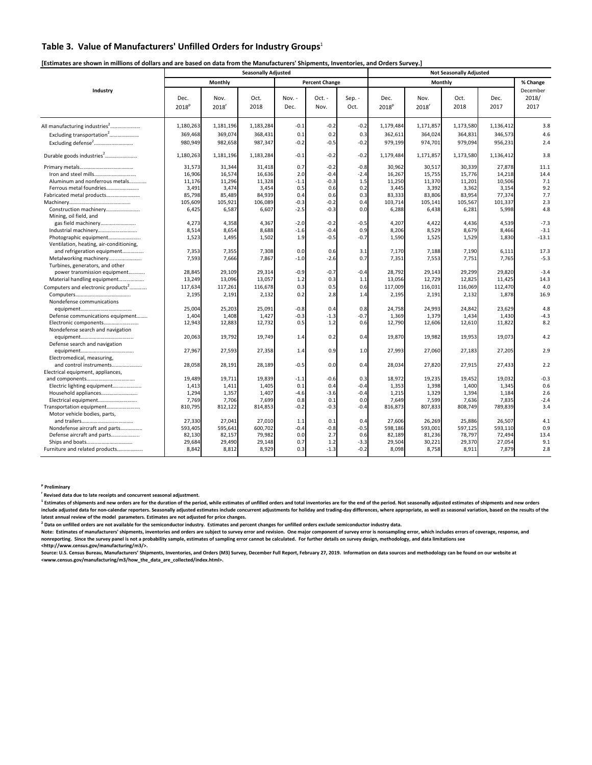### **Table 3. Value of Manufacturers' Unfilled Orders for Industry Groups**<sup>1</sup>

### [Estimates are shown in millions of dollars and are based on data from the Manufacturers' Shipments, Inventories, and Orders Survey.]

|                                                  |                           |              | <b>Seasonally Adjusted</b> |                |                       |                |                           |                             |              |              |                           |
|--------------------------------------------------|---------------------------|--------------|----------------------------|----------------|-----------------------|----------------|---------------------------|-----------------------------|--------------|--------------|---------------------------|
|                                                  |                           | Monthly      |                            |                | <b>Percent Change</b> |                |                           |                             | Monthly      |              | % Change                  |
| Industry                                         | Dec.<br>2018 <sup>p</sup> | Nov.<br>2018 | Oct.<br>2018               | Nov. -<br>Dec. | Oct. -<br>Nov.        | Sep. -<br>Oct. | Dec.<br>2018 <sup>p</sup> | Nov.<br>$2018$ <sup>r</sup> | Oct.<br>2018 | Dec.<br>2017 | December<br>2018/<br>2017 |
| All manufacturing industries <sup>2</sup>        | 1,180,263                 | 1,181,196    | 1,183,284                  | $-0.1$         | $-0.2$                | $-0.2$         | 1,179,484                 | 1,171,857                   | 1,173,580    | 1,136,412    | 3.8                       |
| Excluding transportation <sup>2</sup>            | 369,468                   | 369,074      | 368,431                    | 0.1            | 0.2                   | 0.3            | 362,611                   | 364,024                     | 364,831      | 346,573      | 4.6                       |
| Excluding defense <sup>2</sup>                   | 980,949                   | 982,658      | 987,347                    | $-0.2$         | $-0.5$                | $-0.2$         | 979,199                   | 974,701                     | 979,094      | 956,231      | 2.4                       |
| Durable goods industries <sup>2</sup>            | 1,180,263                 | 1,181,196    | 1,183,284                  | $-0.1$         | $-0.2$                | $-0.2$         | 1,179,484                 | 1,171,857                   | 1,173,580    | 1,136,412    | 3.8                       |
|                                                  | 31,573                    | 31,344       | 31,418                     | 0.7            | $-0.2$                | $-0.8$         | 30,962                    | 30,517                      | 30,339       | 27,878       | 11.1                      |
|                                                  | 16,906                    | 16,574       | 16,636                     | 2.0            | $-0.4$                | $-2.4$         | 16,267                    | 15,755                      | 15,776       | 14,218       | 14.4                      |
| Aluminum and nonferrous metals                   | 11,176                    | 11,296       | 11,328                     | $-1.1$         | $-0.3$                | 1.5            | 11,250                    | 11,370                      | 11,201       | 10,506       | 7.1                       |
| Ferrous metal foundries                          | 3,491                     | 3,474        | 3,454                      | 0.5            | 0.6                   | 0.2            | 3,445                     | 3,392                       | 3,362        | 3,154        | 9.2                       |
|                                                  | 85,798                    | 85,489       | 84,939                     | 0.4            | 0.6                   | 0.3            | 83,333                    | 83,806                      | 83,954       | 77,374       | 7.7                       |
|                                                  | 105,609                   | 105,921      | 106,089                    | $-0.3$         | $-0.2$                | 0.4            | 103,714                   | 105,141                     | 105,567      | 101,337      | 2.3                       |
| Construction machinery<br>Mining, oil field, and | 6,425                     | 6,587        | 6,607                      | $-2.5$         | $-0.3$                | 0.0            | 6,288                     | 6,438                       | 6,281        | 5,998        | 4.8                       |
| gas field machinery                              | 4,273                     | 4,358        | 4,367                      | $-2.0$         | $-0.2$                | $-0.5$         | 4,207                     | 4,422                       | 4,436        | 4,539        | $-7.3$                    |
| Industrial machinery                             | 8,514                     | 8,654        | 8,688                      | $-1.6$         | $-0.4$                | 0.9            | 8,206                     | 8,529                       | 8,679        | 8,466        | $-3.1$                    |
| Photographic equipment                           | 1,523                     | 1,495        | 1,502                      | 1.9            | $-0.5$                | $-0.7$         | 1,590                     | 1,525                       | 1,529        | 1,830        | $-13.1$                   |
| Ventilation, heating, air-conditioning,          |                           |              |                            |                |                       |                |                           |                             |              |              |                           |
| and refrigeration equipment                      | 7,353                     | 7,355        | 7,308                      | 0.0            | 0.6                   | 3.1            | 7,170                     | 7,188                       | 7.190        | 6,111        | 17.3                      |
|                                                  | 7,593                     | 7,666        | 7,867                      | $-1.0$         | $-2.6$                | 0.7            | 7,351                     | 7,553                       | 7,751        | 7,765        | $-5.3$                    |
| Turbines, generators, and other                  |                           |              |                            |                |                       |                |                           |                             |              |              |                           |
| power transmission equipment                     | 28,845                    | 29,109       | 29,314                     | $-0.9$         | $-0.7$                | $-0.4$         | 28,792                    | 29,143                      | 29,299       | 29,820       | $-3.4$                    |
| Material handling equipment                      | 13,249                    | 13,096       | 13,057                     | 1.2            | 0.3                   | 1.1            | 13,056                    | 12,729                      | 12,825       | 11,425       | 14.3                      |
| Computers and electronic products <sup>2</sup>   | 117,634                   | 117,261      | 116,678                    | 0.3            | 0.5                   | 0.6            | 117,009                   | 116,031                     | 116,069      | 112,470      | 4.0                       |
|                                                  | 2,195                     | 2,191        | 2,132                      | 0.2            | 2.8                   | 1.4            | 2,195                     | 2,191                       | 2,132        | 1,878        | 16.9                      |
| Nondefense communications                        |                           |              |                            |                |                       |                |                           |                             |              |              |                           |
|                                                  | 25,004                    | 25,203       | 25,091                     | $-0.8$         | 0.4                   | 0.8            | 24,758                    | 24,993                      | 24,842       | 23,629       | 4.8                       |
| Defense communications equipment                 | 1,404                     | 1,408        | 1,427                      | $-0.3$         | $-1.3$                | $-0.7$         | 1,369                     | 1,379                       | 1,434        | 1,430        | $-4.3$                    |
| Electronic components                            | 12,943                    | 12,883       | 12,732                     | 0.5            | 1.2                   | 0.6            | 12,790                    | 12,606                      | 12,610       | 11,822       | 8.2                       |
| Nondefense search and navigation                 |                           |              |                            |                |                       |                |                           |                             |              |              |                           |
|                                                  | 20,063                    | 19,792       | 19,749                     | 1.4            | 0.2                   | 0.4            | 19,870                    | 19,982                      | 19,953       | 19,073       | 4.2                       |
| Defense search and navigation                    |                           |              |                            |                |                       |                |                           |                             |              |              |                           |
|                                                  | 27,967                    | 27,593       | 27,358                     | 1.4            | 0.9                   | 1.0            | 27,993                    | 27,060                      | 27,183       | 27,205       | 2.9                       |
| Electromedical, measuring,                       |                           |              |                            |                |                       |                |                           |                             |              |              |                           |
| and control instruments                          | 28,058                    | 28,191       | 28,189                     | $-0.5$         | 0.0                   | 0.4            | 28,034                    | 27,820                      | 27,915       | 27,433       | 2.2                       |
| Electrical equipment, appliances,                |                           |              |                            |                |                       |                |                           |                             |              |              |                           |
|                                                  | 19,489                    | 19,711       | 19,839                     | $-1.1$         | $-0.6$                | 0.3            | 18,972                    | 19,235                      | 19,452       | 19,032       | $-0.3$                    |
| Electric lighting equipment                      | 1,413                     | 1,411        | 1,405                      | 0.1            | 0.4                   | $-0.4$         | 1,353                     | 1,398                       | 1,400        | 1,345        | 0.6                       |
|                                                  | 1.294                     | 1,357        | 1,407                      | $-4.6$         | $-3.6$                | $-0.4$         | 1,215                     | 1,329                       | 1,394        | 1,184        | 2.6                       |
| Electrical equipment                             | 7,769                     | 7,706        | 7,699                      | 0.8            | 0.1                   | 0.0            | 7,649                     | 7,599                       | 7,636        | 7,835        | $-2.4$                    |
| Transportation equipment                         | 810,795                   | 812,122      | 814,853                    | $-0.2$         | $-0.3$                | $-0.4$         | 816,873                   | 807,833                     | 808,749      | 789,839      | 3.4                       |
| Motor vehicle bodies, parts,                     |                           |              |                            |                |                       |                |                           |                             |              |              |                           |
|                                                  | 27,330                    | 27,041       | 27,010                     | 1.1            | 0.1                   | 0.4            | 27,606                    | 26,269                      | 25,886       | 26,507       | 4.1                       |
| Nondefense aircraft and parts                    | 593,405                   | 595,641      | 600,702                    | $-0.4$         | $-0.8$                | $-0.5$         | 598,186                   | 593,001                     | 597,125      | 593,110      | 0.9                       |
| Defense aircraft and parts                       | 82,130                    | 82,157       | 79,982                     | 0.0            | 2.7                   | 0.6            | 82,189                    | 81,236                      | 78,797       | 72,494       | 13.4                      |
|                                                  | 29,684                    | 29,490       | 29,148                     | 0.7            | 1.2                   | $-3.3$         | 29,504                    | 30,221                      | 29,370       | 27,054       | 9.1                       |
| Furniture and related products                   | 8,842                     | 8,812        | 8,929                      | 0.3            | $-1.3$                | $-0.2$         | 8,098                     | 8,758                       | 8,911        | 7,879        | 2.8                       |
|                                                  |                           |              |                            |                |                       |                |                           |                             |              |              |                           |

**<sup>p</sup> Preliminary**

**r Revised data due to late receipts and concurrent seasonal adjustment.** 

<sup>1</sup> Estimates of shipments and new orders are for the duration of the period, while estimates of unfilled orders and total inventories are for the end of the period. Not seasonally adjusted estimates of shipments and new o include adjusted data for non-calendar reporters. Seasonally adjusted estimates include concurrent adjustments for holiday and trading-day differences, where appropriate, as well as seasonal variation, based on the results **latest annual review of the model parameters. Estimates are not adjusted for price changes.** 

<sup>2</sup> Data on unfilled orders are not available for the semiconductor industry. Estimates and percent changes for unfilled orders exclude semiconductor industry data.

Note: Estimates of manufacturers' shipments, inventories and orders are subject to survey error and revision. One major component of survey error is nonsampling error, which includes errors of coverage, response, and<br>nonre

**<http://www.census.gov/manufacturing/m3/>.**  Source: U.S. Census Bureau, Manufacturers' Shipments, Inventories, and Orders (M3) Survey, December Full Report, February 27, 2019. Information on data sources and methodology can be found on our website at **<www.census.gov/manufacturing/m3/how\_the\_data\_are\_collected/index.html>.**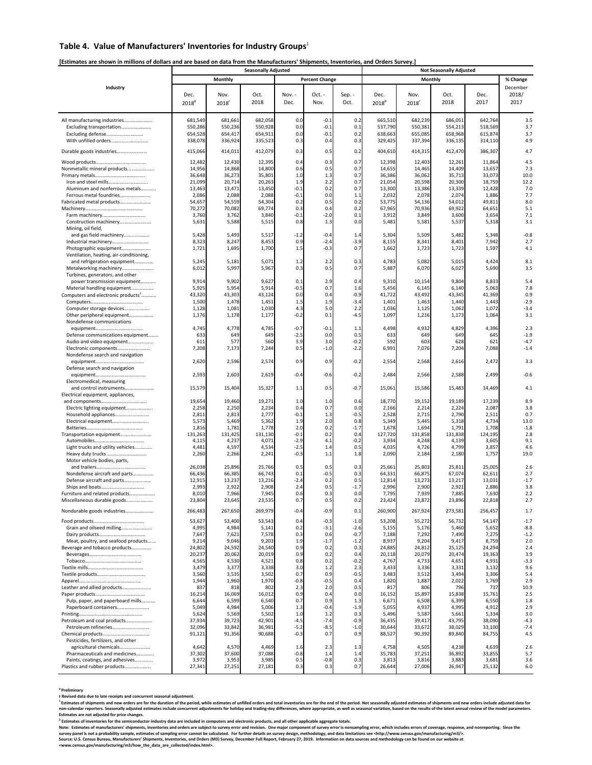### **Table 4. Value of Manufacturers' Inventories for Industry Groups**<sup>1</sup>

### [Estimates are shown in millions of dollars and are based on data from the Manufacturers' Shipments, Inventories, and Orders Survey.]

|                                                                   | <b>Seasonally Adjusted</b><br><b>Not Seasonally Adjusted</b> |                 |                 |                  |                       |               |                   |                 |                 |                 |               |
|-------------------------------------------------------------------|--------------------------------------------------------------|-----------------|-----------------|------------------|-----------------------|---------------|-------------------|-----------------|-----------------|-----------------|---------------|
|                                                                   |                                                              | Monthly         |                 |                  | <b>Percent Change</b> |               |                   | Monthly         |                 |                 | % Change      |
| Industry                                                          |                                                              |                 |                 |                  |                       |               |                   |                 |                 |                 | December      |
|                                                                   | Dec.                                                         | Nov.            | Oct.            | Nov. -           | Oct. -                | Sep. -        | Dec.              | Nov.            | Oct.            | Dec.            | 2018/         |
|                                                                   | 2018 <sup>p</sup>                                            | 2018            | 2018            | Dec.             | Nov.                  | Oct.          | 2018 <sup>p</sup> | 2018            | 2018            | 2017            | 2017          |
|                                                                   |                                                              |                 |                 |                  |                       |               |                   |                 |                 |                 |               |
|                                                                   | 681,549                                                      | 681,661         | 682,058         | 0. <sub>C</sub>  | $-0.1$                | 0.2           | 665,510           | 682,239         | 686,051         | 642,764         | 3.5           |
| All manufacturing industries<br>Excluding transportation          | 550,286                                                      | 550,236         | 550,928         | 0.0              | $-0.1$                | 0.1           | 537,790           | 550,381         | 554,213         | 518,569         | 3.7           |
| Excluding defense                                                 | 654,528                                                      | 654,417         | 654,911         | 0. <sub>C</sub>  | $-0.1$                | 0.2           | 638,663           | 655.085         | 658,968         | 615,874         | 3.7           |
| With unfilled orders                                              | 338,078                                                      | 336,924         | 335,523         | 0.3              | 0.4                   | 0.3           | 329,425           | 337,394         | 336,135         | 314,110         | 4.9           |
|                                                                   |                                                              |                 |                 |                  |                       |               |                   |                 |                 |                 |               |
| Durable goods industries                                          | 415,066                                                      | 414,011         | 412,079         | 0.3              | 0.5                   | 0.2           | 404,610           | 414,315         | 412,470         | 386,307         | 4.7           |
|                                                                   | 12,482                                                       | 12,430          | 12,395          | 0.4              | 0.3                   | 0.7           | 12,398            | 12,403          | 12,261          | 11,864          | 4.5           |
| Nonmetallic mineral products                                      | 14,956                                                       | 14,868          | 14,800          | 0.6              | 0.5                   | 0.7           | 14,655            | 14,465          | 14,409          | 13,657          | 7.3           |
|                                                                   | 36,648                                                       | 36,273          | 35,801          | 1. <sub>C</sub>  | 1.3                   | 0.7           | 36,386            | 36,062          | 35,713          | 33,073          | 10.0          |
|                                                                   | 21,099                                                       | 20,714          | 20,263          | 1.9              | 2.2                   | 0.7           | 21,054            | 20,598          | 20,300          | 18,759          | 12.2          |
| Aluminum and nonferrous metals                                    | 13,463                                                       | 13,471          | 13,450          | $-0.1$           | 0.2                   | 0.7           | 13,300            | 13,386          | 13,339          | 12,428          | 7.0           |
| Ferrous metal foundries                                           | 2,086                                                        | 2,088           | 2,088           | $-0.1$           | 0.0                   | 1.1           | 2,032             | 2,078           | 2,074           | 1,886           | 7.7           |
| Fabricated metal products                                         | 54,657                                                       | 54,559          | 54,304          | 0.2              | 0.5                   | 0.2           | 53,775            | 54,136          | 54,012          | 49,811          | 8.0           |
|                                                                   | 70,272                                                       | 70,082          | 69,774          | 0.3              | 0.4                   | 0.2           | 67,965            | 70,936          | 69,922          | 64,651          | 5.1           |
|                                                                   | 3,760                                                        | 3,762           | 3,840           | $-0.1$           | $-2.0$                | 0.1           | 3,912             | 3,849           | 3,600           | 3,654           | 7.1           |
| Construction machinery                                            | 5,631                                                        | 5,588           | 5,515           | 0.8              | 1.3                   | 0.0           | 5,481             | 5,581           | 5,537           | 5,318           | 3.1           |
| Mining, oil field,                                                |                                                              |                 |                 |                  |                       |               |                   |                 |                 |                 |               |
| and gas field machinery                                           | 5,428<br>8,323                                               | 5,493<br>8,247  | 5,517<br>8,453  | $-1.2$<br>0.9    | $-0.4$<br>$-2.4$      | 1.4<br>$-3.9$ | 5,304             | 5,509<br>8,341  | 5,482           | 5,348<br>7,942  | $-0.8$<br>2.7 |
| Industrial machinery<br>Photographic equipment                    | 1,721                                                        | 1,695           | 1,700           | 1.5              | $-0.3$                | 0.7           | 8,155<br>1,662    | 1,723           | 8,401<br>1,723  | 1,597           | 4.1           |
| Ventilation, heating, air-conditioning,                           |                                                              |                 |                 |                  |                       |               |                   |                 |                 |                 |               |
| and refrigeration equipment                                       | 5,245                                                        | 5,181           | 5,071           | 1.2              | 2.2                   | 0.3           | 4,783             | 5,082           | 5,015           | 4,424           | 8.1           |
| Metalworking machinery                                            | 6,012                                                        | 5,997           | 5,967           | 0.3              | 0.5                   | 0.7           | 5,887             | 6,070           | 6,027           | 5,690           | 3.5           |
| Turbines, generators, and other                                   |                                                              |                 |                 |                  |                       |               |                   |                 |                 |                 |               |
| power transmission equipment                                      | 9,914                                                        | 9,902           | 9,627           | 0.1              | 2.9                   | 0.4           | 9,310             | 10,154          | 9,804           | 8,833           | 5.4           |
| Material handling equipment                                       | 5,925                                                        | 5,954           | 5,914           | $-0.5$           | 0.7                   | 1.6           | 5,456             | 6,145           | 6,140           | 5,063           | 7.8           |
| Computers and electronic products <sup>2</sup>                    | 43,320                                                       | 43,303          | 43,124          | 0.0              | 0.4                   | $-0.9$        | 41,722            | 43,492          | 43,345          | 41,369          | 0.9           |
|                                                                   | 1,500                                                        | 1,478           | 1,451           | 1.5              | 1.9                   | $-3.4$        | 1,401             | 1,463           | 1,440           | 1,443           | $-2.9$        |
| Computer storage devices                                          | 1,128                                                        | 1,081           | 1,030           | 4.3              | 5.0                   | 2.2           | 1,036             | 1,125           | 1,062           | 1,072           | $-3.4$        |
| Other peripheral equipment                                        | 1,176                                                        | 1,178           | 1,177           | $-0.2$           | 0.1                   | $-4.5$        | 1,097             | 1,216           | 1,173           | 1,064           | 3.1           |
| Nondefense communications                                         |                                                              |                 |                 |                  |                       |               |                   |                 |                 |                 |               |
|                                                                   | 4,745                                                        | 4,778           | 4,785           | $-0.7$           | $-0.1$                | 1.1           | 4,498             | 4,932           | 4,829           | 4,396           | 2.3           |
| Defense communications equipment                                  | 633                                                          | 649             | 649             | $-2.5$           | 0.0                   | 0.5           | 633               | 649             | 649             | 645             | $-1.9$        |
| Audio and video equipment                                         | 61:                                                          | 577             | 560             | 5.9              | 3.0                   | $-0.2$        | 592               | 603             | 628             | 62 <sub>2</sub> | $-4.7$        |
| Electronic components<br>Nondefense search and navigation         | 7,208                                                        | 7,173           | 7,244           | 0.5              | $-1.0$                | $-2.2$        | 6,991             | 7,076           | 7,204           | 7,088           | $-1.4$        |
|                                                                   | 2,620                                                        | 2,596           | 2,574           | 0.9              | 0.9                   | $-0.2$        | 2,554             | 2,568           | 2,616           | 2,472           | 3.3           |
| Defense search and navigation                                     |                                                              |                 |                 |                  |                       |               |                   |                 |                 |                 |               |
|                                                                   | 2,593                                                        | 2,603           | 2,619           | $-0.4$           | $-0.6$                | $-0.2$        | 2,484             | 2,566           | 2,588           | 2,499           | $-0.6$        |
| Electromedical, measuring                                         |                                                              |                 |                 |                  |                       |               |                   |                 |                 |                 |               |
| and control instruments                                           | 15,579                                                       | 15,404          | 15,327          | 1.1              | 0.5                   | $-0.7$        | 15,061            | 15,586          | 15,483          | 14,469          | 4.1           |
| Electrical equipment, appliances,                                 |                                                              |                 |                 |                  |                       |               |                   |                 |                 |                 |               |
|                                                                   | 19,654                                                       | 19,460          | 19,271          | 1.0              | 1.0                   | 0.6           | 18,770            | 19,152          | 19,189          | 17,239          | 8.9           |
| Electric lighting equipment                                       | 2,258                                                        | 2,250           | 2,234           | 0.4              | 0.7                   | 0.0           | 2,166             | 2,214           | 2,224           | 2,087           | 3.8           |
| Household appliances                                              | 2,81                                                         | 2,813           | 2,777           | $-0.1$           | 1.3                   | $-0.5$        | 2,528             | 2,715           | 2,790           | 2,511           | 0.7           |
| Electrical equipment                                              | 5,573                                                        | 5,469           | 5,362           | 1.9              | 2.0                   | 0.8           | 5,349             | 5,445           | 5,318           | 4,734           | 13.0          |
|                                                                   | 1,816                                                        | 1,781           | 1,778           | 2.0              | 0.2                   | $-1.7$        | 1,678             | 1,694           | 1,791           | 1,708           | $-1.8$        |
| Transportation equipment                                          | 131,263                                                      | 131,425         | 131,130         | $-0.1$<br>$-2.9$ | 0.2<br>4.1            | 0.4<br>$-0.2$ | 127,720           | 131,858         | 131,838         | 124,195         | 2.8<br>9.1    |
| Light trucks and utility vehicles                                 | 4,11<br>4,481                                                | 4,237<br>4,597  | 4,071<br>4,534  | $-2.5$           | 1.4                   | 0.5           | 3,934<br>4,035    | 4,248<br>4,726  | 4,139<br>4,799  | 3,605<br>3,857  | 4.6           |
| Heavy duty trucks                                                 | 2,260                                                        | 2,266           | 2,241           | $-0.3$           | 1.1                   | 1.8           | 2,090             | 2,184           | 2,180           | 1,757           | 19.0          |
| Motor vehicle bodies, parts,                                      |                                                              |                 |                 |                  |                       |               |                   |                 |                 |                 |               |
|                                                                   | 26,038                                                       | 25,896          | 25,766          | 0.5              | 0.5                   | 0.3           | 25,661            | 25,803          | 25,811          | 25,005          | 2.6           |
| Nondefense aircraft and parts                                     | 66,436                                                       | 66,385          | 66,743          | 0.1              | $-0.5$                | 0.3           | 64,331            | 66,875          | 67,074          | 62,611          | 2.7           |
| Defense aircraft and parts                                        | 12,915                                                       | 13,237          | 13,216          | $-2.4$           | 0.2                   | 0.5           | 12,814            | 13,273          | 13,217          | 13,031          | $-1.7$        |
|                                                                   | 2,993                                                        | 2,922           | 2,908           | 2.4              | 0.5                   | $-1.7$        | 2,996             | 2,900           | 2,921           | 2,886           | 3.8           |
| Furniture and related products                                    | 8,010                                                        | 7,966           | 7,945           | 0.6              | 0.3                   | 0.0           | 7,795             | 7,939           | 7,885           | 7,630           | 2.2           |
| Miscellaneous durable goods                                       | 23,804                                                       | 23,645          | 23,535          | 0.               | 0.5                   | 0.2           | 23,424            | 23,872          | 23,896          | 22,818          | 2.7           |
| Nondurable goods industries                                       | 266,483                                                      | 267,650         | 269,979         | $-0.4$           | $-0.9$                | 0.1           | 260,900           | 267,924         | 273,581         | 256,457         | 1.7           |
|                                                                   |                                                              |                 |                 |                  |                       |               |                   |                 |                 |                 |               |
| $\mbox{\sf Food\,products}{} {} {} {} {} {} {} {} {} {} {} {} {}$ | 53,627                                                       | 53,400          | 53,543          | 0.4              | $-0.3$                | $-1.0$        | 53,208            | 55,272          | 56,732          | 54,147          | $-1.7$        |
| Grain and oilseed milling                                         | 4,995                                                        | 4,984           | 5,141           | 0.2              | $-3.1$                | $-2.6$        | 5,155             | 5,176           | 5,460           | 5,652           | $-8.8$        |
|                                                                   | 7,647                                                        | 7,621           | 7,578           | 0.3              | 0.6                   | $-0.7$        | 7,188             | 7,292           | 7,490           | 7,275           | $-1.2$        |
| Meat, poultry, and seafood products                               | 9,214<br>24,802                                              | 9,046<br>24,592 | 9,203<br>24,540 | 1.9<br>0.9       | $-1.7$<br>0.2         | $-1.2$<br>0.3 | 8,937             | 9,204<br>24,812 | 9,417<br>25,125 | 8,759<br>24,294 | 2.0<br>2.4    |
| Beverage and tobacco products                                     | 20,237                                                       | 20,062          | 20,019          | 0.9              | 0.2                   | 0.4           | 24,885<br>20,118  | 20,079          | 20,474          | 19,363          | 3.9           |
|                                                                   | 4,565                                                        | 4,530           | 4,521           | 0.8              | 0.2                   | $-0.2$        | 4,767             | 4,733           | 4,651           | 4,931           | $-3.3$        |
|                                                                   | 3,479                                                        | 3,377           | 3,338           | 3.0              | 1.2                   | 2.3           | 3,433             | 3,336           | 3,331           | 3,132           | 9.6           |
|                                                                   | 3,560                                                        | 3,535           | 3,502           | 0.7              | 0.9                   | $-0.5$        | 3,483             | 3,512           | 3,494           | 3,306           | 5.4           |
|                                                                   | 1,944                                                        | 1,960           | 1,970           | $-0.8$           | $-0.5$                | 0.4           | 1,820             | 1,887           | 2,022           | 1,769           | 2.9           |
| Leather and allied products                                       | 837                                                          | 818             | 802             | 2.3              | 2.0                   | 0.5           | 817               | 806             | 796             | 737             | 10.9          |
|                                                                   | 16,214                                                       | 16,069          | 16,012          | 0.9              | 0.4                   | 0.0           | 16,152            | 15,897          | 15,838          | 15,761          | 2.5           |
| Pulp, paper, and paperboard mills                                 | 6,644                                                        | 6,599           | 6,540           | 0.7              | 0.9                   | 1.3           | 6,671             | 6,508           | 6,399           | 6,550           | 1.8           |
| Paperboard containers                                             | 5,049                                                        | 4,984           | 5,006           | 1.3              | $-0.4$                | $-1.9$        | 5,055             | 4,937           | 4,995           | 4,912           | 2.9           |
|                                                                   | 5,624                                                        | 5,569           | 5,502           | 1.0              | 1.2                   | 0.3           | 5,496             | 5,587           | 5,661           | 5,334           | 3.0           |
| Petroleum and coal products                                       | 37,934                                                       | 39,723          | 42,901          | $-4.5$           | $-7.4$                | $-0.9$        | 36,435            | 39,417          | 43,795          | 38,090          | $-4.3$        |
| Petroleum refineries                                              | 32,096                                                       | 33,842          | 36,981          | $-5.2$           | $-8.5$                | $-1.0$        | 30,644            | 33,672          | 38,029          | 33,100          | $-7.4$        |
|                                                                   | 91,121                                                       | 91,356          | 90,688          | $-0.3$           | 0.7                   | 0.9           | 88,527            | 90,392          | 89,840          | 84,755          | 4.5           |
| Pesticides, fertilizers, and other<br>agricultural chemicals      | 4,642                                                        | 4,570           | 4,469           | 1.6              | 2.3                   | 1.3           | 4,758             | 4,505           | 4,238           | 4,639           | 2.6           |
| Pharmaceuticals and medicines                                     | 37,302                                                       | 37,600          | 37,088          | $-0.8$           | 1.4                   | 1.4           | 35,783            | 37,251          | 36,892          | 33,855          | 5.7           |
| Paints, coatings, and adhesives                                   | 3,972                                                        | 3,953           | 3,985           | 0.5              | $-0.8$                | 0.3           | 3,813             | 3,816           | 3,883           | 3,681           | 3.6           |
| Plastics and rubber products                                      | 27,341                                                       | 27,251          | 27,181          | 0.3              | 0.3                   | 0.7           | 26,644            | 27,006          | 26,947          | 25,132          | 6.0           |

<sup>s</sup> Preliminary<br>Rewised data due to late receipts and concurrent seasonal adjustment.<br>"Estimates of shipments and new orders are for the duration of the period, while estimates of unfilled orders and total inventories are

<sup>2</sup> Estimates of inventories for the semiconductor industry data are included in computers and electronic products, and all other applicable aggregate totals.<br>Note: Estimates of manufacturers' shipments, inventories and or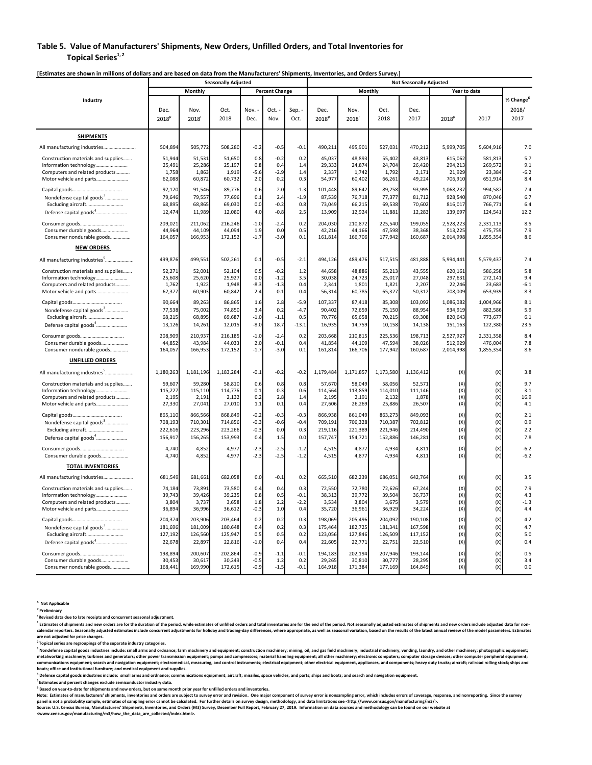### **Table 5. Value of Manufacturers' Shipments, New Orders, Unfilled Orders, and Total Inventories for**  $T$ opical Series<sup>1, 2</sup>

|                                                                                                                                           | <b>Seasonally Adjusted</b>                                |                                                           |                                                           |                                             |                                        |                                              | <b>Not Seasonally Adjusted</b>                            |                                                           |                                                           |                                                           |                                            |                                            |                                           |  |
|-------------------------------------------------------------------------------------------------------------------------------------------|-----------------------------------------------------------|-----------------------------------------------------------|-----------------------------------------------------------|---------------------------------------------|----------------------------------------|----------------------------------------------|-----------------------------------------------------------|-----------------------------------------------------------|-----------------------------------------------------------|-----------------------------------------------------------|--------------------------------------------|--------------------------------------------|-------------------------------------------|--|
|                                                                                                                                           |                                                           | Monthly                                                   |                                                           |                                             | <b>Percent Change</b>                  |                                              |                                                           | Monthly                                                   |                                                           |                                                           |                                            | Year to date                               |                                           |  |
| Industry                                                                                                                                  | Dec.<br>2018 <sup>p</sup>                                 | Nov.<br>2018                                              | Oct.<br>2018                                              | Nov.<br>Dec.                                | Oct. -<br>Nov.                         | Sep.<br>Oct.                                 | Dec.<br>2018 <sup>p</sup>                                 | Nov.<br>$2018$ <sup>r</sup>                               | Oct.<br>2018                                              | Dec.<br>2017                                              | 2018 <sup>p</sup>                          | 2017                                       | % Change <sup>6</sup><br>2018/<br>2017    |  |
| <b>SHIPMENTS</b>                                                                                                                          |                                                           |                                                           |                                                           |                                             |                                        |                                              |                                                           |                                                           |                                                           |                                                           |                                            |                                            |                                           |  |
| All manufacturing industries                                                                                                              | 504,894                                                   | 505,772                                                   | 508,280                                                   | $-0.2$                                      | $-0.5$                                 | $-0.1$                                       | 490,211                                                   | 495,901                                                   | 527,031                                                   | 470,212                                                   | 5,999,705                                  | 5,604,916                                  | 7.0                                       |  |
| Construction materials and supplies<br>Computers and related products<br>Motor vehicle and parts                                          | 51,944<br>25,491<br>1,758<br>62,088                       | 51,531<br>25,286<br>1,863<br>60,872                       | 51,650<br>25,197<br>1,919<br>60,732                       | 0.8<br>0.8<br>$-5.6$<br>2.0                 | $-0.2$<br>0.4<br>$-2.9$<br>0.2         | 0.2<br>1.4<br>1.4<br>0.3                     | 45,037<br>29,333<br>2,337<br>54,977                       | 48,893<br>24,874<br>1,742<br>60,402                       | 55,402<br>24,704<br>1,792<br>66,261                       | 43,813<br>26,420<br>2,171<br>49,224                       | 615,062<br>294,213<br>21,929<br>706,910    | 581,813<br>269,572<br>23,384<br>651,914    | 5.7<br>9.1<br>$-6.2$<br>8.4               |  |
| Nondefense capital goods <sup>3</sup><br>Excluding aircraft<br>Defense capital goods <sup>4</sup>                                         | 92,120<br>79,646<br>68,895<br>12,474                      | 91,546<br>79,557<br>68,865<br>11,989                      | 89,776<br>77,696<br>69,030<br>12,080                      | 0.6<br>0.1<br>0.0<br>4.0                    | 2.0<br>2.4<br>$-0.2$<br>$-0.8$         | $-1.3$<br>$-1.9$<br>0.8<br>2.5               | 101,448<br>87,539<br>73,049<br>13,909                     | 89,642<br>76,718<br>66,215<br>12,924                      | 89,258<br>77,377<br>69,538<br>11,881                      | 93,995<br>81,712<br>70,602<br>12,283                      | 1,068,237<br>928,540<br>816,017<br>139,697 | 994,587<br>870,046<br>766,771<br>124,541   | 7.4<br>6.7<br>6.4<br>12.2                 |  |
| Consumer durable goods<br>Consumer nondurable goods                                                                                       | 209,021<br>44,964<br>164,057                              | 211,062<br>44,109<br>166,953                              | 216,246<br>44,094<br>172,152                              | $-1.0$<br>1.9<br>$-1.7$                     | $-2.4$<br>0.0<br>$-3.0$                | 0.2<br>0.5<br>0.1                            | 204,030<br>42,216<br>161,814                              | 210,872<br>44,166<br>166,706                              | 225,540<br>47,598<br>177,942                              | 199,055<br>38,368<br>160,687                              | 2,528,223<br>513,225<br>2,014,998          | 2,331,113<br>475,759<br>1,855,354          | 8.5<br>7.9<br>8.6                         |  |
| <b>NEW ORDERS</b>                                                                                                                         |                                                           |                                                           |                                                           |                                             |                                        |                                              |                                                           |                                                           |                                                           |                                                           |                                            |                                            |                                           |  |
| All manufacturing industries <sup>5</sup>                                                                                                 | 499,876                                                   | 499,551                                                   | 502,261                                                   | 0.1                                         | $-0.5$                                 | $-2.1$                                       | 494,126                                                   | 489,476                                                   | 517,515                                                   | 481,888                                                   | 5,994,441                                  | 5,579,437                                  | 7.4                                       |  |
| Construction materials and supplies<br>Information technology<br>Computers and related products<br>Motor vehicle and parts                | 52,271<br>25,608<br>1,762<br>62,377                       | 52,001<br>25,620<br>1,922<br>60,903                       | 52,104<br>25,927<br>1,948<br>60,842                       | 0.5<br>0.0<br>$-8.3$<br>2.4                 | $-0.2$<br>$-1.2$<br>$-1.3$<br>0.1      | 1.2<br>3.5<br>0.4<br>0.4                     | 44,658<br>30,038<br>2,341<br>56,314                       | 48,886<br>24,723<br>1,801<br>60,785                       | 55,213<br>25,017<br>1,821<br>65,327                       | 43,555<br>27.048<br>2,207<br>50,312                       | 620,161<br>297,631<br>22,246<br>708,009    | 586,258<br>272,141<br>23,683<br>653,939    | 5.8<br>9.4<br>$-6.1$<br>8.3               |  |
| Nondefense capital goods <sup>3</sup><br>Excluding aircraft<br>Defense capital goods <sup>4</sup>                                         | 90,664<br>77,538<br>68,215<br>13,126                      | 89,263<br>75,002<br>68,895<br>14,261                      | 86,865<br>74,850<br>69,687<br>12,015                      | 1.6<br>3.4<br>$-1.0$<br>$-8.0$              | 2.8<br>0.2<br>$-1.1$<br>18.7           | $-5.9$<br>$-4.7$<br>0.5<br>$-13.1$           | 107,337<br>90,402<br>70,776<br>16,935                     | 87,418<br>72,659<br>65,658<br>14,759                      | 85,308<br>75,150<br>70,215<br>10,158                      | 103,092<br>88,954<br>69,308<br>14,138                     | 1,086,082<br>934,919<br>820,643<br>151,163 | 1,004,966<br>882,586<br>773,677<br>122,380 | 8.1<br>5.9<br>6.1<br>23.5                 |  |
| Consumer durable goods<br>Consumer nondurable goods                                                                                       | 208,909<br>44,852<br>164,057                              | 210,937<br>43,984<br>166,953                              | 216,185<br>44,033<br>172,152                              | $-1.0$<br>2.0<br>$-1.7$                     | $-2.4$<br>$-0.1$<br>$-3.0$             | 0.2<br>0.4<br>0.1                            | 203,668<br>41,854<br>161,814                              | 210,815<br>44,109<br>166,706                              | 225,536<br>47,594<br>177,942                              | 198,713<br>38,026<br>160,687                              | 2,527,927<br>512,929<br>2,014,998          | 2,331,358<br>476,004<br>1,855,354          | 8.4<br>7.8<br>8.6                         |  |
| <b>UNFILLED ORDERS</b>                                                                                                                    |                                                           |                                                           |                                                           |                                             |                                        |                                              |                                                           |                                                           |                                                           |                                                           |                                            |                                            |                                           |  |
| All manufacturing industries <sup>5</sup>                                                                                                 | 1,180,263                                                 | 1,181,196                                                 | 1,183,284                                                 | $-0.1$                                      | $-0.2$                                 | $-0.2$                                       | 1,179,484                                                 | 1,171,857                                                 | 1,173,580                                                 | 1,136,412                                                 | (X)                                        | (X)                                        | 3.8                                       |  |
| Construction materials and supplies<br>Information technology<br>Computers and related products<br>Motor vehicle and parts                | 59,607<br>115,227<br>2,195<br>27,330                      | 59,280<br>115,110<br>2,191<br>27,041                      | 58,810<br>114,776<br>2,132<br>27,010                      | 0.6<br>0.1<br>0.2<br>1.1                    | 0.8<br>0.3<br>2.8<br>0.1               | 0.8<br>0.6<br>1.4<br>0.4                     | 57,670<br>114,564<br>2,195<br>27,606                      | 58,049<br>113,859<br>2,191<br>26,269                      | 58,056<br>114,010<br>2,132<br>25,886                      | 52,571<br>111,146<br>1,878<br>26,507                      | (X)<br>(X)<br>(X)<br>(X)                   | (X)<br>(X)<br>(X)<br>(X)                   | 9.7<br>3.1<br>16.9<br>4.1                 |  |
| Nondefense capital goods <sup>3</sup><br>Excluding aircraft<br>Defense capital goods <sup>4</sup>                                         | 865,110<br>708,193<br>222,616<br>156,917                  | 866,566<br>710,301<br>223,296<br>156,265                  | 868,849<br>714,856<br>223,266<br>153,993                  | $-0.2$<br>$-0.3$<br>$-0.3$<br>0.4           | $-0.3$<br>$-0.6$<br>0.0<br>1.5         | $-0.3$<br>$-0.4$<br>0.3<br>0.0               | 866,938<br>709,191<br>219,116<br>157,747                  | 861,049<br>706,328<br>221,389<br>154,721                  | 863,273<br>710,387<br>221,946<br>152,886                  | 849,093<br>702,812<br>214,490<br>146,281                  | (X)<br>(X)<br>(X)<br>(X)                   | (X)<br>(X)<br>(X)<br>(X)                   | 2.1<br>0.9<br>2.2<br>7.8                  |  |
| Consumer durable goods<br><b>TOTAL INVENTORIES</b>                                                                                        | 4,740<br>4,740                                            | 4,852<br>4,852                                            | 4,977<br>4,977                                            | $-2.3$<br>$-2.3$                            | $-2.5$<br>$-2.5$                       | $-1.2$<br>$-1.2$                             | 4,515<br>4,515                                            | 4,877<br>4,877                                            | 4,934<br>4,934                                            | 4,811<br>4,811                                            | (X)<br>(X)                                 | (X)<br>(X)                                 | $-6.2$<br>$-6.2$                          |  |
| All manufacturing industries                                                                                                              | 681,549                                                   | 681,661                                                   | 682,058                                                   | 0.0                                         | $-0.1$                                 | 0.2                                          | 665,510                                                   | 682,239                                                   | 686,051                                                   | 642,764                                                   | (X)                                        | (X)                                        | 3.5                                       |  |
| Construction materials and supplies<br>Computers and related products<br>Motor vehicle and parts<br>Nondefense capital goods <sup>3</sup> | 74,184<br>39,743<br>3,804<br>36,894<br>204,374<br>181,696 | 73,891<br>39,426<br>3,737<br>36,996<br>203,906<br>181,009 | 73,580<br>39,235<br>3,658<br>36,612<br>203,464<br>180,648 | 0.4<br>0.8<br>1.8<br>$-0.3$<br>0.2<br>0.4   | 0.4<br>0.5<br>2.2<br>1.0<br>0.2<br>0.2 | 0.3<br>$-0.1$<br>$-2.2$<br>0.4<br>0.3<br>0.3 | 72,550<br>38,313<br>3,534<br>35,720<br>198,069<br>175,464 | 72,780<br>39,772<br>3,804<br>36,961<br>205,496<br>182,725 | 72,626<br>39,504<br>3,675<br>36,929<br>204,092<br>181,341 | 67,244<br>36,737<br>3,579<br>34,224<br>190,108<br>167,598 | (X)<br>(X)<br>(X)<br>(X)<br>(X)<br>(X)     | (X)<br>(X)<br>(X)<br>(X)<br>(X)<br>(X)     | 7.9<br>4.3<br>$-1.3$<br>4.4<br>4.2<br>4.7 |  |
| Excluding aircraft<br>Defense capital goods <sup>4</sup><br>Consumer durable goods<br>Consumer nondurable goods                           | 127,192<br>22,678<br>198,894<br>30,453<br>168,441         | 126,560<br>22,897<br>200,607<br>30,617<br>169,990         | 125,947<br>22,816<br>202,864<br>30,249<br>172,615         | 0.5<br>$-1.0$<br>$-0.9$<br>$-0.5$<br>$-0.9$ | 0.5<br>0.4<br>$-1.1$<br>1.2<br>$-1.5$  | 0.2<br>0.4<br>$-0.1$<br>0.2<br>$-0.1$        | 123,056<br>22,605<br>194,183<br>29,265<br>164,918         | 127,846<br>22,771<br>202,194<br>30,810<br>171,384         | 126,509<br>22,751<br>207,946<br>30,777<br>177,169         | 117,152<br>22,510<br>193,144<br>28,295<br>164,849         | (X)<br>(X)<br>(X)<br>(X)<br>(X)            | (X)<br>(X)<br>(X)<br>(x)<br>(X)            | 5.0<br>0.4<br>0.5<br>3.4<br>0.0           |  |

[Estimates are shown in millions of dollars and are based on data from the Manufacturers' Shipments, Inventories, and Orders Survey.]

**X Not Applicable**

**<sup>p</sup> Preliminary**

**r Revised data due to late receipts and concurrent seasonal adjustment.** 

<sup>1</sup> Estimates of shipments and new orders are for the duration of the period, while estimates of unfilled orders and total inventories are for the end of the period. Not seasonally adjusted estimates of shipments and new o **are not adjusted for price changes.** 

**2 Topical series are regroupings of the separate industry categories.** 

<sup>3</sup> Nondefense capital goods industries include: small arms and ordnance; farm machinery and equipment; construction machinery; mining, oil, and gas field machinery; industrial machinery; vending, laundry, and other machin metalworking machinery; turbines and generators; other power transmission equipment; pumps and compressors; material handling equipment; all other machinery; electronic computers; computer storage devices; other computer p communications equipment; search and navigation equipment; electromedical, measuring, and control instruments; electrical equipment; other electrical equipment, appliances, and components; heavy duty trucks; aircraft; rail

.<br>Defense capital goods industries include: small arms and ordnance; communications equipment; aircraft; missiles, space vehicles, and parts; ships and boats; and search and navigation equipment.

**5 Estimates and percent changes exclude semiconductor industry data.** 

 $^{\rm 6}$  Based on year-to-date for shipments and new orders, but on same month prior year for unfilled orders and inventories.

Note: Estimates of manufacturers' shipments, inventories and orders are subject to survey error and revision. One major component of survey error is nonsampling error, which includes errors of coverage, response, and nonre

Source: U.S. Census Bureau, Manufacturers' Shipments, Inventories, and Orders (M3) Survey, December Full Report, February 27, 2019. Information on data sources and methodology can be found on our website at<br><www.census.gov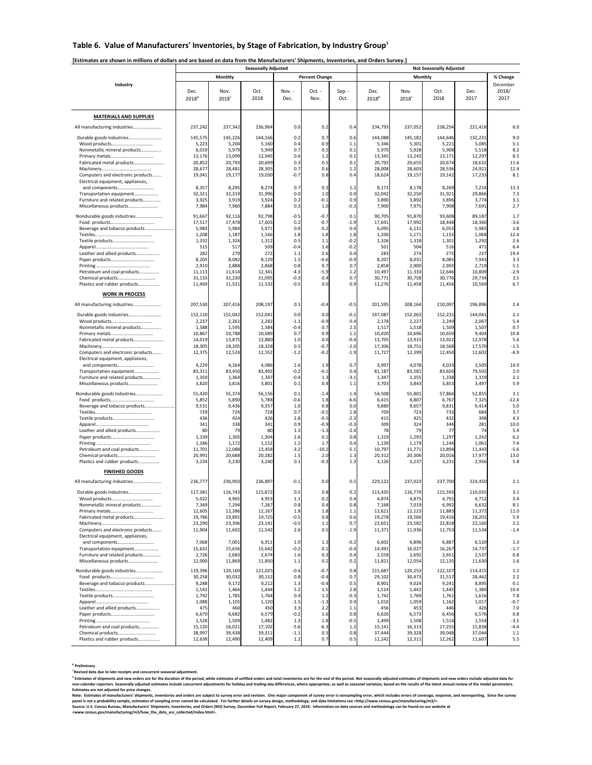### **Table 6. Value of Manufacturers' Inventories, by Stage of Fabrication, by Industry Group1**

### [Estimates are shown in millions of dollars and are based on data from the Manufacturers' Shipments, Inventories, and Orders Survey.]

|                                                     |                   |                  | <b>Seasonally Adjusted</b> |                |                       | <b>Not Seasonally Adjusted</b> |                   |                  |                  |                  |               |  |
|-----------------------------------------------------|-------------------|------------------|----------------------------|----------------|-----------------------|--------------------------------|-------------------|------------------|------------------|------------------|---------------|--|
|                                                     |                   | Monthly          |                            |                | <b>Percent Change</b> |                                |                   |                  | Monthly          |                  | % Change      |  |
| Industry                                            |                   |                  |                            |                |                       |                                |                   |                  |                  |                  | December      |  |
|                                                     | Dec.              | Nov.             | Oct.<br>2018               | Nov. -<br>Dec. | Oct. -<br>Nov.        | Sep. -<br>Oct.                 | Dec.              | Nov.             | Oct.<br>2018     | Dec.<br>2017     | 2018/<br>2017 |  |
|                                                     | 2018 <sup>p</sup> | 2018             |                            |                |                       |                                | 2018 <sup>p</sup> | 2018             |                  |                  |               |  |
|                                                     |                   |                  |                            |                |                       |                                |                   |                  |                  |                  |               |  |
| <b>MATERIALS AND SUPPLIES</b>                       |                   |                  |                            |                |                       |                                |                   |                  |                  |                  |               |  |
| All manufacturing industries                        | 237,242           | 237,342          | 236,964                    | 0.0            | 0.2                   | 0.4                            | 234,793           | 237,052          | 238,254          | 221,418          | 6.0           |  |
| Durable goods industries                            | 145,575           | 145,226          | 144,166                    | 0.2            | 0.7                   | 0.6                            | 144,088           | 145,182          | 144,646          | 132,231          | 9.0           |  |
|                                                     | 5,223             | 5,204            | 5,160                      | 0.4            | 0.9                   | 1.1                            | 5,346             | 5,301            | 5,221            | 5,085            | 5.1           |  |
| Nonmetallic mineral products                        | 6,019<br>13,176   | 5,979<br>13,099  | 5,949<br>12,945            | 0.7<br>0.6     | 0.5<br>1.2            | 0.1<br>0.1                     | 5,970<br>13,345   | 5,928<br>13,243  | 5,908<br>13,171  | 5,518<br>12,297  | 8.2<br>8.5    |  |
| Fabricated metal products                           | 20,852            | 20,793           | 20,699                     | 0.3            | 0.5                   | 0.1                            | 20,792            | 20,655           | 20,674           | 18,632           | 11.6          |  |
|                                                     | 28,677            | 28,481           | 28,305                     | 0.7            | 0.6                   | 1.2                            | 28,008            | 28,603           | 28,536           | 24,921           | 12.4          |  |
| Computers and electronic products                   | 19,041            | 19,177           | 19,030                     | $-0.7$         | 0.8                   | 0.4                            | 18,624            | 19,157           | 19,142           | 17,233           | 8.1           |  |
| Electrical equipment, appliances,<br>and components | 8,357             | 8,295            | 8,274                      | 0.7            | 0.3                   | 1.2                            | 8,171             | 8,178            | 8,269            | 7,214            | 13.3          |  |
| Transportation equipment                            | 32,321            | 32,319           | 31,996                     | 0.0            | 1.0                   | 0.9                            | 32,042            | 32,250           | 31,921           | 29,866           | 7.3           |  |
| Furniture and related products                      | 3,925             | 3,919            | 3,924                      | 0.2            | $-0.1$                | 0.9                            | 3,890             | 3,892            | 3,896            | 3,774            | 3.1           |  |
| Miscellaneous products                              | 7,984             | 7,960            | 7,884                      | 0.3            | 1.0                   | $-0.3$                         | 7,900             | 7,975            | 7,908            | 7,691            | 2.7           |  |
| Nondurable goods industries                         | 91,667            | 92,116           | 92,798                     | $-0.5$         | $-0.7$                | 0.1                            | 90,705            | 91,870           | 93,608           | 89,187           | 1.7           |  |
|                                                     | 17,517            | 17,478           | 17,603                     | 0.2            | $-0.7$                | $-1.9$                         | 17,691            | 17,992           | 18,448           | 18,360           | $-3.6$        |  |
| Beverage and tobacco products                       | 5,983<br>1,208    | 5,984<br>1,187   | 5,971<br>1,166             | 0.0<br>1.8     | 0.2<br>1.8            | 0.4<br>1.8                     | 6,095<br>1,200    | 6,131<br>1,171   | 6,053<br>1,153   | 5,985<br>1,068   | 1.8<br>12.4   |  |
|                                                     | 1,332             | 1,326            | 1,312                      | 0.5            | 1.1                   | $-0.2$                         | 1,326             | 1,318            | 1,301            | 1,292            | 2.6           |  |
|                                                     | 515               | 517              | 509                        | $-0.4$         | 1.6                   | $-0.2$                         | 501               | 504              | 516              | 471              | 6.4           |  |
| Leather and allied products                         | 282<br>8,205      | 279<br>8,082     | 272<br>8,129               | 1.1<br>1.5     | 2.6<br>$-0.6$         | 0.4<br>$-0.9$                  | 283<br>8,207      | 274<br>8,031     | 273<br>8,085     | 237<br>7,943     | 19.4<br>3.3   |  |
|                                                     | 2,910             | 2,888            | 2,868                      | 0.8            | 0.7                   | 0.7                            | 2,858             | 2,900            | 2,903            | 2,719            | 5.1           |  |
| Petroleum and coal products                         | 11,113            | 11,614           | 12,341                     | $-4.3$         | $-5.9$                | 1.2                            | 10,497            | 11,333           | 12,646           | 10,809           | $-2.9$        |  |
|                                                     | 31,133            | 31,230           | 31,095                     | $-0.3$         | 0.4                   | 0.7                            | 30,771            | 30,758           | 30,776           | 29,734           | 3.5           |  |
| Plastics and rubber products                        | 11,469            | 11,531           | 11,532                     | $-0.5$         | 0.0                   | 0.9                            | 11,276            | 11,458           | 11,454           | 10,569           | 6.7           |  |
| <b>WORK IN PROCESS</b>                              |                   |                  |                            |                |                       |                                |                   |                  |                  |                  |               |  |
| All manufacturing industries                        | 207,530           | 207,416          | 208,197                    | 0.1            | $-0.4$                | $-0.5$                         | 201,595           | 208,164          | 210,097          | 196,896          | 2.4           |  |
| Durable goods industries                            | 152,110           | 152,042          | 152,041                    | 0.0            | 0.0                   | $-0.1$                         | 147,087           | 152,363          | 152,231          | 144,041          | 2.1           |  |
|                                                     | 2,237             | 2,261            | 2,282                      | $-1.1$         | $-0.9$                | 0.4                            | 2,178             | 2,22             | 2,249            | 2,067            | 5.4           |  |
| Nonmetallic mineral products                        | 1,588             | 1,595            | 1,584                      | $-0.4$         | 0.7                   | 2.5                            | 1,517             | 1,518            | 1,509            | 1,507            | 0.7           |  |
| Fabricated metal products                           | 10,867<br>14,019  | 10,788<br>13,875 | 10,689<br>13,880           | 0.7<br>1.0     | 0.9<br>0.0            | 1.1<br>$-0.4$                  | 10,420<br>13,705  | 10,696<br>13,915 | 10,659<br>13,922 | 9,404<br>12,978  | 10.8<br>5.6   |  |
|                                                     | 18,305            | 18,205           | 18,328                     | 0.5            | $-0.7$                | $-2.0$                         | 17,306            | 18,751           | 18,568           | 17,570           | $-1.5$        |  |
| Computers and electronic products                   | 12,375            | 12,524           | 12,552                     | $-1.2$         | $-0.2$                | $-1.9$                         | 11,727            | 12,399           | 12,450           | 12,602           | $-6.9$        |  |
| Electrical equipment, appliances,                   |                   |                  |                            |                |                       |                                |                   |                  |                  |                  |               |  |
| and components<br>Transportation equipment          | 4,229<br>83,311   | 4,164<br>83,450  | 4,086<br>83,492            | 1.6<br>$-0.2$  | 1.9<br>$-0.1$         | 0.7<br>0.4                     | 3,997<br>81,187   | 4,078<br>83,581  | 4,033<br>83,650  | 3,505<br>79,592  | 14.0<br>2.0   |  |
| Furniture and related products                      | 1,359             | 1,364            | 1,347                      | $-0.4$         | 1.3                   | $-3.1$                         | 1,347             | 1,35!            | 1,338            | 1,319            | 2.1           |  |
| Miscellaneous products                              | 3,820             | 3,816            | 3,801                      | 0.1            | 0.4                   | 1.1                            | 3,703             | 3,843            | 3,853            | 3,497            | 5.9           |  |
| Nondurable goods industries                         | 55,420            | 55,374           | 56,156                     | 0.1            | $-1.4$                | $-1.4$                         | 54,508            | 55,801           | 57,866           | 52,855           | 3.1           |  |
|                                                     | 5,852             | 5,890            | 5,788                      | $-0.6$         | 1.8                   | $-6.6$                         | 6,415             | 6,807            | 6,767            | 7,325            | $-12.4$       |  |
| Beverage and tobacco products                       | 9,531             | 9,436            | 9,357                      | 1.0            | 0.8                   | 0.0                            | 9,889             | 9,65             | 9,831            | 9,414            | 5.0           |  |
|                                                     | 729<br>436        | 724<br>424       | 728<br>426                 | 0.7<br>2.8     | $-0.5$<br>$-0.5$      | 1.8<br>$-2.3$                  | 709<br>415        | 723<br>425       | 733<br>432       | 684<br>398       | 3.7<br>4.3    |  |
|                                                     | 341               | 338              | 341                        | 0.9            | $-0.9$                | $-0.3$                         | 309               | 324              | 344              | 281              | 10.0          |  |
| Leather and allied products                         | 80                | <b>79</b>        | 80                         | 1.3            | $-1.3$                | $-2.4$                         | 78                | 79               | 77               | 74               | 5.4           |  |
|                                                     | 1,339<br>1,186    | 1,305<br>1,172   | 1,304<br>1,152             | 2.6<br>1.2     | 0.1<br>1.7            | 0.8<br>0.4                     | 1,319<br>1,139    | 1,293<br>1,179   | 1,297<br>1,244   | 1,242<br>1,061   | 6.2<br>7.4    |  |
| Petroleum and coal products                         | 11,701            | 12,088           | 13,458                     | $-3.2$         | $-10.2$               | $-5.1$                         | 10,797            | 11,771           | 13,894           | 11,443           | $-5.6$        |  |
|                                                     | 20,991            | 20,688           | 20,282                     | 1.5            | 2.0                   | 1.3                            | 20,312            | 20,306           | 20,016           | 17,977           | 13.0          |  |
| Plastics and rubber products                        | 3,234             | 3,230            | 3,240                      | 0.1            | $-0.3$                | 1.3                            | 3,126             | 3,237            | 3,231            | 2,956            | 5.8           |  |
| <b>FINISHED GOODS</b>                               |                   |                  |                            |                |                       |                                |                   |                  |                  |                  |               |  |
| All manufacturing industries                        | 236,777           | 236,903          | 236,897                    | $-0.1$         | 0.0                   | 0.5                            | 229,122           | 237,023          | 237,700          | 224,450          | 2.1           |  |
| Durable goods industries                            | 117,381           | 116,743          | 115,872                    | 0.5            | 0.8                   | 0.2                            | 113,435           | 116,770          | 115,593          | 110.035          | 3.1           |  |
|                                                     | 5,02              | 4,96.            | 4,95                       | 1.1            | 0.                    | ٥.                             | 4,874             | 4,87             | 4,791            | 4,712            | 3.4           |  |
| Nonmetallic mineral products                        | 7,349             | 7,294            | 7,267                      | 0.8            | 0.4                   | 0.8                            | 7,168             | 7,019            | 6,992            | 6,632            | 8.1           |  |
| Fabricated metal products                           | 12,605<br>19,786  | 12,386<br>19,891 | 12,167<br>19,725           | 1.8<br>$-0.5$  | 1.8<br>0.8            | 1.1<br>0.6                     | 12,621<br>19,278  | 12,123<br>19,566 | 11,883<br>19,416 | 11,372<br>18,201 | 11.0<br>5.9   |  |
|                                                     | 23,290            | 23,396           | 23,141                     | $-0.5$         | 1.1                   | 0.7                            | 22,651            | 23,582           | 22,818           | 22,160           | 2.2           |  |
| Computers and electronic products                   | 11,904            | 11,602           | 11,542                     | 2.6            | 0.5                   | $-1.9$                         | 11,371            | 11,936           | 11,753           | 11,534           | $-1.4$        |  |
| Electrical equipment, appliances,                   |                   |                  |                            |                |                       |                                |                   |                  |                  |                  |               |  |
| and components<br>Transportation equipment          | 7,068<br>15,631   | 7,001<br>15,656  | 6,911<br>15,642            | 1.0<br>$-0.2$  | 1.3<br>0.1            | $-0.2$<br>$-0.4$               | 6,602<br>14,491   | 6,896<br>16,027  | 6,887<br>16,267  | 6,520<br>14,737  | 1.3<br>$-1.7$ |  |
| Furniture and related products                      | 2,726             | 2,683            | 2,674                      | 1.6            | 0.3                   | 0.4                            | 2,558             | 2,692            | 2,651            | 2,537            | 0.8           |  |
| Miscellaneous products                              | 12,000            | 11,869           | 11,850                     | 1.1            | 0.2                   | 0.2                            | 11,821            | 12,054           | 12,135           | 11,630           | 1.6           |  |
| Nondurable goods industries                         | 119,396           | 120,160          | 121,025                    | $-0.6$         | $-0.7$                | 0.8                            | 115,687           | 120,253          | 122,107          | 114,415          | $1.1$         |  |
|                                                     | 30,258            | 30,032           | 30,152                     | 0.8            | $-0.4$                | 0.7                            | 29,102            | 30,473           | 31,517           | 28,462           | 2.2           |  |
| Beverage and tobacco products                       | 9,288<br>1,542    | 9,172<br>1,466   | 9,212<br>1,444             | 1.3<br>5.2     | $-0.4$<br>1.5         | 0.5<br>2.8                     | 8,901<br>1,524    | 9,024<br>1,442   | 9,241<br>1,445   | 8,895<br>1,380   | 0.1<br>10.4   |  |
|                                                     | 1,792             | 1,785            | 1,764                      | 0.4            | 1.2                   | $-0.3$                         | 1,742             | 1,769            | 1,761            | 1,616            | 7.8           |  |
|                                                     | 1,088             | 1,105            | 1,120                      | $-1.5$         | $-1.3$                | 0.9                            | 1,010             | 1,059            | 1,162            | 1,017            | $-0.7$        |  |
| Leather and allied products                         | 475               | 460              | 450                        | 3.3            | 2.2                   | 1.1                            | 456               | 453              | 446              | 426              | 7.0           |  |
|                                                     | 6,670<br>1,528    | 6,682<br>1,509   | 6,579<br>1,482             | $-0.2$<br>1.3  | 1.6<br>1.8            | 0.8<br>$-0.5$                  | 6,626<br>1,499    | 6,573<br>1,508   | 6,456<br>1,514   | 6,576<br>1,554   | 0.8<br>$-3.5$ |  |
| Petroleum and coal products                         | 15,120            | 16,021           | 17,102                     | $-5.6$         | $-6.3$                | 1.2                            | 15,141            | 16,313           | 17,255           | 15,838           | $-4.4$        |  |
|                                                     | 38,997            | 39,438           | 39,311                     | $-1.1$         | 0.3                   | 0.8                            | 37,444            | 39,328           | 39,048           | 37,044           | 1.1           |  |
| Plastics and rubber products                        | 12,638            | 12,490           | 12,409                     | 1.2            | 0.7                   | 0.5                            | 12,242            | 12,311           | 12,262           | 11,607           | 5.5           |  |

**<sup>p</sup> Preliminary** 

**r Revised data due to late receipts and concurrent seasonal adjustment.** 

<sup>1</sup> stimates of shipments and new orders are for the duration of the period, while estimates of unfilled orders and total inventories are for the end of the period. Not seasonally adjusted estimates of shipments and new or